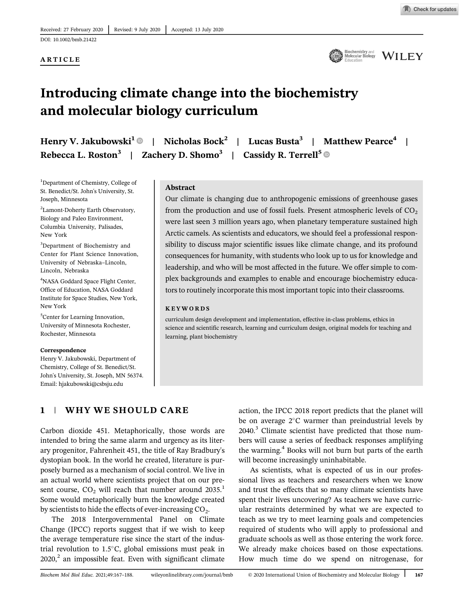ARTICLE



**WILEY** 

# Introducing climate change into the biochemistry and molecular biology curriculum

| Henry V. Jakubowski <sup>1</sup> $\bullet$   Nicholas Bock <sup>2</sup>   Lucas Busta <sup>3</sup>   Matthew Pearce <sup>4</sup> |  |  |
|----------------------------------------------------------------------------------------------------------------------------------|--|--|
| Rebecca L. Roston <sup>3</sup>   Zachery D. Shomo <sup>3</sup>   Cassidy R. Terrell <sup>5</sup> $\circ$                         |  |  |

<sup>1</sup>Department of Chemistry, College of St. Benedict/St. John's University, St. Joseph, Minnesota

<sup>2</sup>Lamont-Doherty Earth Observatory, Biology and Paleo Environment, Columbia University, Palisades, New York

<sup>3</sup>Department of Biochemistry and Center for Plant Science Innovation, University of Nebraska–Lincoln, Lincoln, Nebraska

<sup>4</sup>NASA Goddard Space Flight Center, Office of Education, NASA Goddard Institute for Space Studies, New York, New York

<sup>5</sup>Center for Learning Innovation, University of Minnesota Rochester, Rochester, Minnesota

#### Correspondence

Henry V. Jakubowski, Department of Chemistry, College of St. Benedict/St. John's University, St. Joseph, MN 56374. Email: hjakubowski@csbsju.edu

#### Abstract

Our climate is changing due to anthropogenic emissions of greenhouse gases from the production and use of fossil fuels. Present atmospheric levels of  $CO<sub>2</sub>$ were last seen 3 million years ago, when planetary temperature sustained high Arctic camels. As scientists and educators, we should feel a professional responsibility to discuss major scientific issues like climate change, and its profound consequences for humanity, with students who look up to us for knowledge and leadership, and who will be most affected in the future. We offer simple to complex backgrounds and examples to enable and encourage biochemistry educators to routinely incorporate this most important topic into their classrooms.

#### KEYWORDS

curriculum design development and implementation, effective in-class problems, ethics in science and scientific research, learning and curriculum design, original models for teaching and learning, plant biochemistry

#### 1 | WHY WE SHOULD CARE

Carbon dioxide 451. Metaphorically, those words are intended to bring the same alarm and urgency as its literary progenitor, Fahrenheit 451, the title of Ray Bradbury's dystopian book. In the world he created, literature is purposely burned as a mechanism of social control. We live in an actual world where scientists project that on our present course,  $CO_2$  will reach that number around 2035.<sup>1</sup> Some would metaphorically burn the knowledge created by scientists to hide the effects of ever-increasing CO<sub>2</sub>.

The 2018 Intergovernmental Panel on Climate Change (IPCC) reports suggest that if we wish to keep the average temperature rise since the start of the industrial revolution to  $1.5^{\circ}$ C, global emissions must peak in  $2020$ ,<sup>2</sup> an impossible feat. Even with significant climate

action, the IPCC 2018 report predicts that the planet will be on average 2°C warmer than preindustrial levels by 2040.<sup>3</sup> Climate scientist have predicted that those numbers will cause a series of feedback responses amplifying the warming.<sup>4</sup> Books will not burn but parts of the earth will become increasingly uninhabitable.

As scientists, what is expected of us in our professional lives as teachers and researchers when we know and trust the effects that so many climate scientists have spent their lives uncovering? As teachers we have curricular restraints determined by what we are expected to teach as we try to meet learning goals and competencies required of students who will apply to professional and graduate schools as well as those entering the work force. We already make choices based on those expectations. How much time do we spend on nitrogenase, for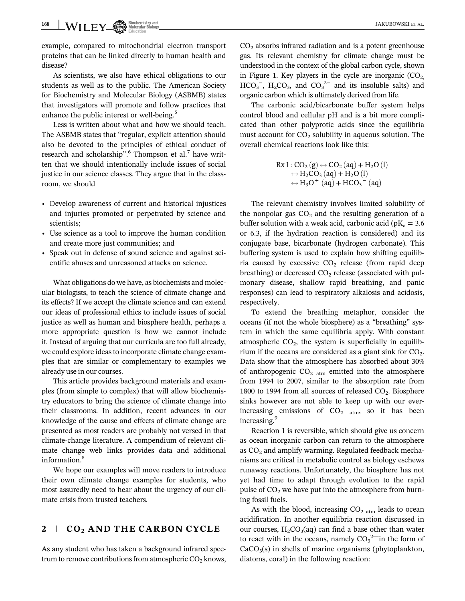$\perp_{\mathsf{WIEY\_f}}$  Biochemistry and Biochemistry and  $\perp_{\mathsf{WIEX\_f}}$ 

example, compared to mitochondrial electron transport proteins that can be linked directly to human health and disease?

As scientists, we also have ethical obligations to our students as well as to the public. The American Society for Biochemistry and Molecular Biology (ASBMB) states that investigators will promote and follow practices that enhance the public interest or well-being.<sup>5</sup>

Less is written about what and how we should teach. The ASBMB states that "regular, explicit attention should also be devoted to the principles of ethical conduct of research and scholarship".<sup>6</sup> Thompson et al.<sup>7</sup> have written that we should intentionally include issues of social justice in our science classes. They argue that in the classroom, we should

- Develop awareness of current and historical injustices and injuries promoted or perpetrated by science and scientists;
- Use science as a tool to improve the human condition and create more just communities; and
- Speak out in defense of sound science and against scientific abuses and unreasoned attacks on science.

What obligations do we have, as biochemists and molecular biologists, to teach the science of climate change and its effects? If we accept the climate science and can extend our ideas of professional ethics to include issues of social justice as well as human and biosphere health, perhaps a more appropriate question is how we cannot include it. Instead of arguing that our curricula are too full already, we could explore ideas to incorporate climate change examples that are similar or complementary to examples we already use in our courses.

This article provides background materials and examples (from simple to complex) that will allow biochemistry educators to bring the science of climate change into their classrooms. In addition, recent advances in our knowledge of the cause and effects of climate change are presented as most readers are probably not versed in that climate-change literature. A compendium of relevant climate change web links provides data and additional information.<sup>8</sup>

We hope our examples will move readers to introduce their own climate change examples for students, who most assuredly need to hear about the urgency of our climate crisis from trusted teachers.

#### $2$  | CO<sub>2</sub> AND THE CARBON CYCLE

As any student who has taken a background infrared spectrum to remove contributions from atmospheric  $CO<sub>2</sub>$  knows,  $CO<sub>2</sub>$  absorbs infrared radiation and is a potent greenhouse gas. Its relevant chemistry for climate change must be understood in the context of the global carbon cycle, shown in Figure 1. Key players in the cycle are inorganic  $(CO<sub>2</sub>)$  $HCO<sub>3</sub><sup>-</sup>$ , H<sub>2</sub>CO<sub>3</sub>, and CO<sub>3</sub><sup>2-</sup> and its insoluble salts) and organic carbon which is ultimately derived from life.

The carbonic acid/bicarbonate buffer system helps control blood and cellular pH and is a bit more complicated than other polyprotic acids since the equilibria must account for  $CO<sub>2</sub>$  solubility in aqueous solution. The overall chemical reactions look like this:

> $Rx 1: CO<sub>2</sub>(g) \leftrightarrow CO<sub>2</sub>(aq) + H<sub>2</sub>O (l)$  $\leftrightarrow$  H<sub>2</sub>CO<sub>3</sub> (aq) + H<sub>2</sub>O (l)  $\leftrightarrow H_3O^+$  (aq) + HCO<sub>3</sub><sup>-</sup> (aq)

The relevant chemistry involves limited solubility of the nonpolar gas  $CO<sub>2</sub>$  and the resulting generation of a buffer solution with a weak acid, carbonic acid ( $pK_a = 3.6$ ) or 6.3, if the hydration reaction is considered) and its conjugate base, bicarbonate (hydrogen carbonate). This buffering system is used to explain how shifting equilibria caused by excessive  $CO<sub>2</sub>$  release (from rapid deep breathing) or decreased  $CO<sub>2</sub>$  release (associated with pulmonary disease, shallow rapid breathing, and panic responses) can lead to respiratory alkalosis and acidosis, respectively.

To extend the breathing metaphor, consider the oceans (if not the whole biosphere) as a "breathing" system in which the same equilibria apply. With constant atmospheric  $CO<sub>2</sub>$ , the system is superficially in equilibrium if the oceans are considered as a giant sink for  $CO<sub>2</sub>$ . Data show that the atmosphere has absorbed about 30% of anthropogenic  $CO<sub>2 atm</sub>$  emitted into the atmosphere from 1994 to 2007, similar to the absorption rate from 1800 to 1994 from all sources of released  $CO<sub>2</sub>$ . Biosphere sinks however are not able to keep up with our everincreasing emissions of  $CO<sub>2</sub>$  atm, so it has been increasing.<sup>9</sup>

Reaction 1 is reversible, which should give us concern as ocean inorganic carbon can return to the atmosphere as  $CO<sub>2</sub>$  and amplify warming. Regulated feedback mechanisms are critical in metabolic control as biology eschews runaway reactions. Unfortunately, the biosphere has not yet had time to adapt through evolution to the rapid pulse of  $CO<sub>2</sub>$  we have put into the atmosphere from burning fossil fuels.

As with the blood, increasing  $CO<sub>2 atm</sub>$  leads to ocean acidification. In another equilibria reaction discussed in our courses,  $H_2CO_3(aq)$  can find a base other than water to react with in the oceans, namely  $CO_3^2$  in the form of  $CaCO<sub>3</sub>(s)$  in shells of marine organisms (phytoplankton, diatoms, coral) in the following reaction: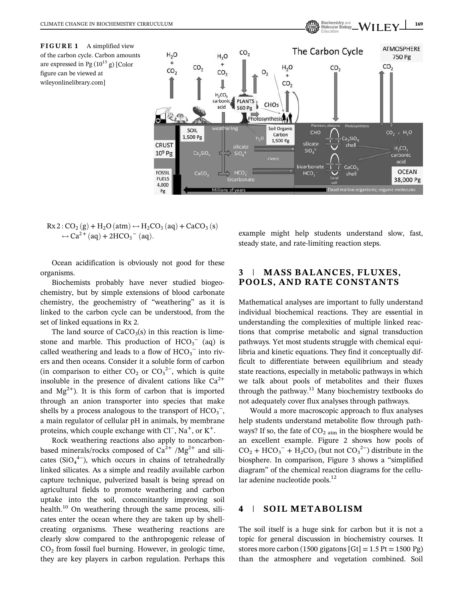



$$
\begin{aligned} Rx\,2:CO_2\left(g\right) + H_2O\left(\text{atm}\right) &\leftrightarrow H_2CO_3\left(aq\right) + CaCO_3\left(s\right) \\ &\leftrightarrow Ca^{2+}\left(aq\right) + 2HCO_3^-\left(aq\right). \end{aligned}
$$

Ocean acidification is obviously not good for these organisms.

Biochemists probably have never studied biogeochemistry, but by simple extensions of blood carbonate chemistry, the geochemistry of "weathering" as it is linked to the carbon cycle can be understood, from the set of linked equations in Rx 2.

The land source of  $CaCO<sub>3</sub>(s)$  in this reaction is limestone and marble. This production of  $HCO_3^-$  (aq) is called weathering and leads to a flow of  $HCO_3^-$  into rivers and then oceans. Consider it a soluble form of carbon (in comparison to either  $CO_2$  or  $CO_3^2$ <sup>-</sup>, which is quite insoluble in the presence of divalent cations like  $Ca^{2+}$ and  $Mg^{2+}$ ). It is this form of carbon that is imported through an anion transporter into species that make shells by a process analogous to the transport of  $HCO_3^-$ , a main regulator of cellular pH in animals, by membrane proteins, which couple exchange with  $Cl^-$ , Na<sup>+</sup>, or K<sup>+</sup>.

Rock weathering reactions also apply to noncarbonbased minerals/rocks composed of  $Ca^{2+}$  /Mg<sup>2+</sup> and silicates  $(SiO<sub>4</sub><sup>4−</sup>)$ , which occurs in chains of tetrahedrally linked silicates. As a simple and readily available carbon capture technique, pulverized basalt is being spread on agricultural fields to promote weathering and carbon uptake into the soil, concomitantly improving soil health.<sup>10</sup> On weathering through the same process, silicates enter the ocean where they are taken up by shellcreating organisms. These weathering reactions are clearly slow compared to the anthropogenic release of  $CO<sub>2</sub>$  from fossil fuel burning. However, in geologic time, they are key players in carbon regulation. Perhaps this

example might help students understand slow, fast, steady state, and rate-limiting reaction steps.

## 3 | MASS BALANCES, FLUXES, POOLS, AND RATE CONSTANTS

Mathematical analyses are important to fully understand individual biochemical reactions. They are essential in understanding the complexities of multiple linked reactions that comprise metabolic and signal transduction pathways. Yet most students struggle with chemical equilibria and kinetic equations. They find it conceptually difficult to differentiate between equilibrium and steady state reactions, especially in metabolic pathways in which we talk about pools of metabolites and their fluxes through the pathway.<sup>11</sup> Many biochemistry textbooks do not adequately cover flux analyses through pathways.

Would a more macroscopic approach to flux analyses help students understand metabolite flow through pathways? If so, the fate of  $CO<sub>2 atm</sub>$  in the biosphere would be an excellent example. Figure 2 shows how pools of  $CO_2 + HCO_3^- + H_2CO_3$  (but not  $CO_3^2$ ) distribute in the biosphere. In comparison, Figure 3 shows a "simplified diagram" of the chemical reaction diagrams for the cellular adenine nucleotide pools.<sup>12</sup>

### 4 | SOIL METABOLISM

The soil itself is a huge sink for carbon but it is not a topic for general discussion in biochemistry courses. It stores more carbon (1500 gigatons  $[**gt**] = 1.5 **Pt** = 1500 **Pg**)$ than the atmosphere and vegetation combined. Soil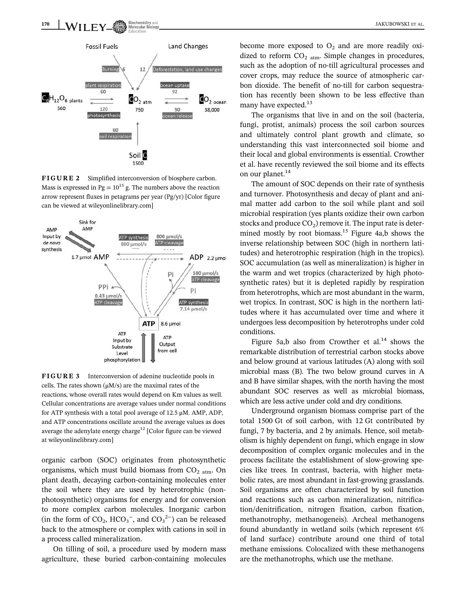

FIGURE 2 Simplified interconversion of biosphere carbon. Mass is expressed in Pg =  $10^{15}$  g. The numbers above the reaction arrow represent fluxes in petagrams per year (Pg/yr) [Color figure can be viewed at wileyonlinelibrary.com]



FIGURE 3 Interconversion of adenine nucleotide pools in cells. The rates shown  $(\mu M/s)$  are the maximal rates of the reactions, whose overall rates would depend on Km values as well. Cellular concentrations are average values under normal conditions for ATP synthesis with a total pool average of 12.5 μM. AMP, ADP, and ATP concentrations oscillate around the average values as does average the adenylate energy charge<sup>12</sup> [Color figure can be viewed at wileyonlinelibrary.com]

organic carbon (SOC) originates from photosynthetic organisms, which must build biomass from  $CO<sub>2 atm</sub>$ . On plant death, decaying carbon-containing molecules enter the soil where they are used by heterotrophic (nonphotosynthetic) organisms for energy and for conversion to more complex carbon molecules. Inorganic carbon (in the form of  $CO_2$ , HCO<sub>3</sub><sup>-</sup>, and  $CO_3^{2-}$ ) can be released back to the atmosphere or complex with cations in soil in a process called mineralization.

On tilling of soil, a procedure used by modern mass agriculture, these buried carbon-containing molecules

become more exposed to  $O<sub>2</sub>$  and are more readily oxidized to reform  $CO<sub>2 atm</sub>$ . Simple changes in procedures, such as the adoption of no-till agricultural processes and cover crops, may reduce the source of atmospheric carbon dioxide. The benefit of no-till for carbon sequestration has recently been shown to be less effective than many have expected.<sup>13</sup>

The organisms that live in and on the soil (bacteria, fungi, protist, animals) process the soil carbon sources and ultimately control plant growth and climate, so understanding this vast interconnected soil biome and their local and global environments is essential. Crowther et al. have recently reviewed the soil biome and its effects on our planet.<sup>14</sup>

The amount of SOC depends on their rate of synthesis and turnover. Photosynthesis and decay of plant and animal matter add carbon to the soil while plant and soil microbial respiration (yes plants oxidize their own carbon stocks and produce  ${\rm CO}_2$ ) remove it. The input rate is determined mostly by root biomass.<sup>15</sup> Figure 4a,b shows the inverse relationship between SOC (high in northern latitudes) and heterotrophic respiration (high in the tropics). SOC accumulation (as well as mineralization) is higher in the warm and wet tropics (characterized by high photosynthetic rates) but it is depleted rapidly by respiration from heterotrophs, which are most abundant in the warm, wet tropics. In contrast, SOC is high in the northern latitudes where it has accumulated over time and where it undergoes less decomposition by heterotrophs under cold conditions.

Figure 5a,b also from Crowther et  $al^{14}$  shows the remarkable distribution of terrestrial carbon stocks above and below ground at various latitudes (A) along with soil microbial mass (B). The two below ground curves in A and B have similar shapes, with the north having the most abundant SOC reserves as well as microbial biomass, which are less active under cold and dry conditions.

Underground organism biomass comprise part of the total 1500 Gt of soil carbon, with 12 Gt contributed by fungi, 7 by bacteria, and 2 by animals. Hence, soil metabolism is highly dependent on fungi, which engage in slow decomposition of complex organic molecules and in the process facilitate the establishment of slow-growing species like trees. In contrast, bacteria, with higher metabolic rates, are most abundant in fast-growing grasslands. Soil organisms are often characterized by soil function and reactions such as carbon mineralization, nitrification/denitrification, nitrogen fixation, carbon fixation, methanotrophy, methanogeneis). Archeal methanogens found abundantly in wetland soils (which represent 6% of land surface) contribute around one third of total methane emissions. Colocalized with these methanogens are the methanotrophs, which use the methane.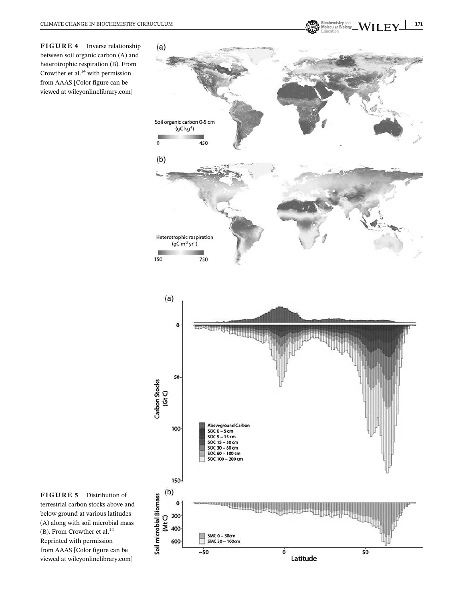





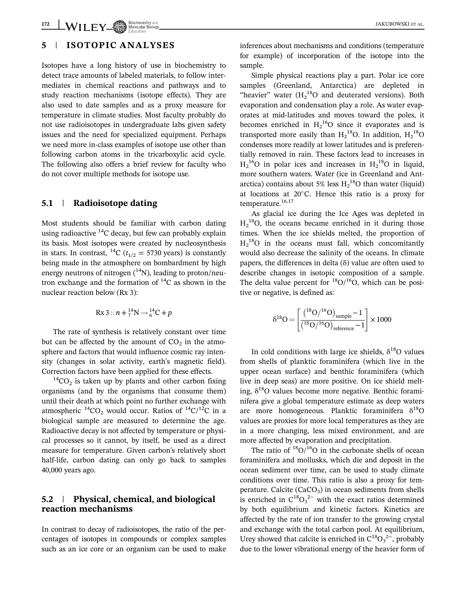# 5 | ISOTOPIC ANALYSES

Isotopes have a long history of use in biochemistry to detect trace amounts of labeled materials, to follow intermediates in chemical reactions and pathways and to study reaction mechanisms (isotope effects). They are also used to date samples and as a proxy measure for temperature in climate studies. Most faculty probably do not use radioisotopes in undergraduate labs given safety issues and the need for specialized equipment. Perhaps we need more in-class examples of isotope use other than following carbon atoms in the tricarboxylic acid cycle. The following also offers a brief review for faculty who do not cover multiple methods for isotope use.

#### 5.1 | Radioisotope dating

Most students should be familiar with carbon dating using radioactive  $^{14}$ C decay, but few can probably explain its basis. Most isotopes were created by nucleosynthesis in stars. In contrast, <sup>14</sup>C ( $t_{1/2}$  = 5730 years) is constantly being made in the atmosphere on bombardment by high energy neutrons of nitrogen  $(^{14}N)$ , leading to proton/neutron exchange and the formation of  ${}^{14}C$  as shown in the nuclear reaction below (Rx 3):

$$
Rx3:: n+{}^{14}_{7}N \rightarrow {}^{14}_{6}C + p
$$

The rate of synthesis is relatively constant over time but can be affected by the amount of  $CO<sub>2</sub>$  in the atmosphere and factors that would influence cosmic ray intensity (changes in solar activity, earth's magnetic field). Correction factors have been applied for these effects.

 ${}^{14}CO_2$  is taken up by plants and other carbon fixing organisms (and by the organisms that consume them) until their death at which point no further exchange with atmospheric  ${}^{14}CO_2$  would occur. Ratios of  ${}^{14}C/{}^{12}C$  in a biological sample are measured to determine the age. Radioactive decay is not affected by temperature or physical processes so it cannot, by itself, be used as a direct measure for temperature. Given carbon's relatively short half-life, carbon dating can only go back to samples 40,000 years ago.

# 5.2 | Physical, chemical, and biological reaction mechanisms

In contrast to decay of radioisotopes, the ratio of the percentages of isotopes in compounds or complex samples such as an ice core or an organism can be used to make inferences about mechanisms and conditions (temperature for example) of incorporation of the isotope into the sample.

Simple physical reactions play a part. Polar ice core samples (Greenland, Antarctica) are depleted in "heavier" water  $(H_2^{18}O$  and deuterated versions). Both evaporation and condensation play a role. As water evaporates at mid-latitudes and moves toward the poles, it becomes enriched in  $H_2^{16}O$  since it evaporates and is transported more easily than  $H_2^{18}O$ . In addition,  $H_2^{18}O$ condenses more readily at lower latitudes and is preferentially removed in rain. These factors lead to increases in  $H_2^{16}O$  in polar ices and increases in  $H_2^{18}O$  in liquid, more southern waters. Water (ice in Greenland and Antarctica) contains about 5% less  $H_2^{18}O$  than water (liquid) at locations at  $20^{\circ}$ C. Hence this ratio is a proxy for temperature.<sup>16,17</sup>

As glacial ice during the Ice Ages was depleted in  $H_2$ <sup>18</sup>O, the oceans became enriched in it during those times. When the ice shields melted, the proportion of  $H_2$ <sup>18</sup>O in the oceans must fall, which concomitantly would also decrease the salinity of the oceans. In climate papers, the differences in delta  $(\delta)$  value are often used to describe changes in isotopic composition of a sample. The delta value percent for  $^{18}O/^{16}O$ , which can be positive or negative, is defined as:

$$
\delta^{18}O = \left[ \frac{\left(^{18}O/^{16}O\right)_{\text{sample}} - 1}{\left(^{18}O/^{16}O\right)_{\text{reference}} - 1} \right] \times 1000
$$

In cold conditions with large ice shields,  $\delta^{18}O$  values from shells of planktic foraminifera (which live in the upper ocean surface) and benthic foraminifera (which live in deep seas) are more positive. On ice shield melting,  $\delta^{18}$ O values become more negative. Benthic foraminifera give a global temperature estimate as deep waters are more homogeneous. Planktic foraminifera  $\delta^{18}O$ values are proxies for more local temperatures as they are in a more changing, less mixed environment, and are more affected by evaporation and precipitation.

The ratio of  $\rm{^{18}O/^{16}O}$  in the carbonate shells of ocean foraminifera and mollusks, which die and deposit in the ocean sediment over time, can be used to study climate conditions over time. This ratio is also a proxy for temperature. Calcite  $(CaCO<sub>3</sub>)$  in ocean sediments from shells is enriched in  $C^{18}O_3^{2-}$  with the exact ratios determined by both equilibrium and kinetic factors. Kinetics are affected by the rate of ion transfer to the growing crystal and exchange with the total carbon pool. At equilibrium, Urey showed that calcite is enriched in  $C^{18}O_3^2$ , probably due to the lower vibrational energy of the heavier form of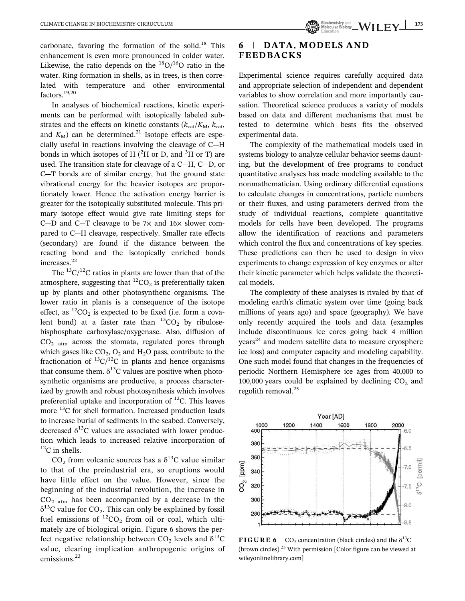carbonate, favoring the formation of the solid.<sup>18</sup> This enhancement is even more pronounced in colder water. Likewise, the ratio depends on the  $^{18}O/^{16}O$  ratio in the water. Ring formation in shells, as in trees, is then correlated with temperature and other environmental factors.<sup>19,20</sup>

In analyses of biochemical reactions, kinetic experiments can be performed with isotopically labeled substrates and the effects on kinetic constants  $(k_{cat}/K_M, k_{cat})$ and  $K_M$ ) can be determined.<sup>21</sup> Isotope effects are especially useful in reactions involving the cleavage of C-H bonds in which isotopes of H  $(^{2}H$  or D, and  $^{3}H$  or T) are used. The transition state for cleavage of a C-H, C-D, or C-T bonds are of similar energy, but the ground state vibrational energy for the heavier isotopes are proportionately lower. Hence the activation energy barrier is greater for the isotopically substituted molecule. This primary isotope effect would give rate limiting steps for C $-D$  and C $-T$  cleavage to be  $7\times$  and  $16\times$  slower compared to C-H cleavage, respectively. Smaller rate effects (secondary) are found if the distance between the reacting bond and the isotopically enriched bonds increases.<sup>22</sup>

The  ${}^{13}C/{}^{12}C$  ratios in plants are lower than that of the atmosphere, suggesting that  ${}^{12}CO_2$  is preferentially taken up by plants and other photosynthetic organisms. The lower ratio in plants is a consequence of the isotope effect, as  ${}^{12}CO_2$  is expected to be fixed (i.e. form a covalent bond) at a faster rate than  ${}^{13}CO_2$  by ribulosebisphosphate carboxylase/oxygenase. Also, diffusion of  $CO<sub>2 atm</sub>$  across the stomata, regulated pores through which gases like  $CO_2$ ,  $O_2$  and  $H_2O$  pass, contribute to the fractionation of  $^{13}C/^{12}C$  in plants and hence organisms that consume them.  $\delta^{13}$ C values are positive when photosynthetic organisms are productive, a process characterized by growth and robust photosynthesis which involves preferential uptake and incorporation of  $^{12}$ C. This leaves more <sup>13</sup>C for shell formation. Increased production leads to increase burial of sediments in the seabed. Conversely, decreased  $\delta^{13}C$  values are associated with lower production which leads to increased relative incorporation of  ${}^{12}C$  in shells.

 $CO<sub>2</sub>$  from volcanic sources has a  $\delta^{13}$ C value similar to that of the preindustrial era, so eruptions would have little effect on the value. However, since the beginning of the industrial revolution, the increase in  $CO<sub>2 atm</sub>$  has been accompanied by a decrease in the  $\delta^{13}$ C value for CO<sub>2</sub>. This can only be explained by fossil fuel emissions of  ${}^{12}CO_2$  from oil or coal, which ultimately are of biological origin. Figure 6 shows the perfect negative relationship between  $\mathrm{CO}_2$  levels and  $\delta^{13}\mathrm{C}$ value, clearing implication anthropogenic origins of emissions.<sup>23</sup>

#### 6 | DATA, MODELS AND FEEDBACKS

Experimental science requires carefully acquired data and appropriate selection of independent and dependent variables to show correlation and more importantly causation. Theoretical science produces a variety of models based on data and different mechanisms that must be tested to determine which bests fits the observed experimental data.

The complexity of the mathematical models used in systems biology to analyze cellular behavior seems daunting, but the development of free programs to conduct quantitative analyses has made modeling available to the nonmathematician. Using ordinary differential equations to calculate changes in concentrations, particle numbers or their fluxes, and using parameters derived from the study of individual reactions, complete quantitative models for cells have been developed. The programs allow the identification of reactions and parameters which control the flux and concentrations of key species. These predictions can then be used to design in vivo experiments to change expression of key enzymes or alter their kinetic parameter which helps validate the theoretical models.

The complexity of these analyses is rivaled by that of modeling earth's climatic system over time (going back millions of years ago) and space (geography). We have only recently acquired the tools and data (examples include discontinuous ice cores going back 4 million  $years<sup>24</sup>$  and modern satellite data to measure cryosphere ice loss) and computer capacity and modeling capability. One such model found that changes in the frequencies of periodic Northern Hemisphere ice ages from 40,000 to 100,000 years could be explained by declining  $CO<sub>2</sub>$  and regolith removal.<sup>25</sup>



**FIGURE 6** CO<sub>2</sub> concentration (black circles) and the  $\delta^{13}$ C (brown circles). $^{23}$  With permission [Color figure can be viewed at wileyonlinelibrary.com]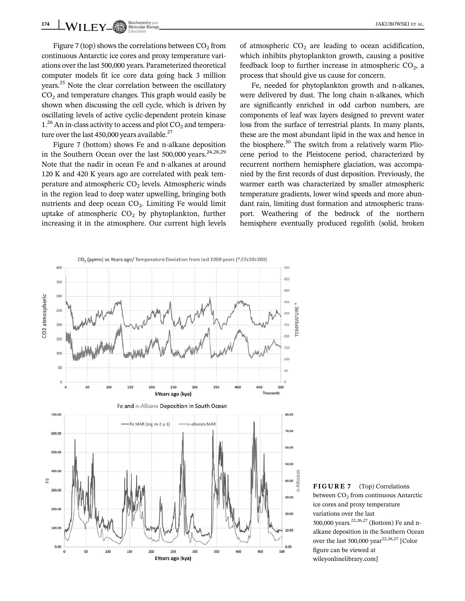Figure 7 (top) shows the correlations between  $\mathrm{CO}_2$  from continuous Antarctic ice cores and proxy temperature variations over the last 500,000 years. Parameterized theoretical computer models fit ice core data going back 3 million years.<sup>25</sup> Note the clear correlation between the oscillatory  $CO<sub>2</sub>$  and temperature changes. This graph would easily be shown when discussing the cell cycle, which is driven by oscillating levels of active cyclic-dependent protein kinase  $1.^{26}$  An in-class activity to access and plot CO<sub>2</sub> and temperature over the last 450,000 years available. $^{27}$ 

Figure 7 (bottom) shows Fe and n-alkane deposition in the Southern Ocean over the last  $500,000$  years.<sup>24,28,29</sup> Note that the nadir in ocean Fe and n-alkanes at around 120 K and 420 K years ago are correlated with peak temperature and atmospheric CO $_2$  levels. Atmospheric winds in the region lead to deep water upwelling, bringing both nutrients and deep ocean  $CO<sub>2</sub>$ . Limiting Fe would limit uptake of atmospheric  $CO<sub>2</sub>$  by phytoplankton, further increasing it in the atmosphere. Our current high levels of atmospheric  $CO<sub>2</sub>$  are leading to ocean acidification, which inhibits phytoplankton growth, causing a positive feedback loop to further increase in atmospheric  $CO<sub>2</sub>$ , a process that should give us cause for concern.

Fe, needed for phytoplankton growth and n-alkanes, were delivered by dust. The long chain n-alkanes, which are significantly enriched in odd carbon numbers, are components of leaf wax layers designed to prevent water loss from the surface of terrestrial plants. In many plants, these are the most abundant lipid in the wax and hence in the biosphere. $30$  The switch from a relatively warm Pliocene period to the Pleistocene period, characterized by recurrent northern hemisphere glaciation, was accompanied by the first records of dust deposition. Previously, the warmer earth was characterized by smaller atmospheric temperature gradients, lower wind speeds and more abundant rain, limiting dust formation and atmospheric transport. Weathering of the bedrock of the northern hemisphere eventually produced regolith (solid, broken



FIGURE 7 (Top) Correlations between CO<sub>2</sub> from continuous Antarctic ice cores and proxy temperature variations over the last 500,000 years.<sup>22,26,27</sup> (Bottom) Fe and nalkane deposition in the Southern Ocean over the last 500,000 year<sup>22,26,27</sup> [Color figure can be viewed at wileyonlinelibrary.com]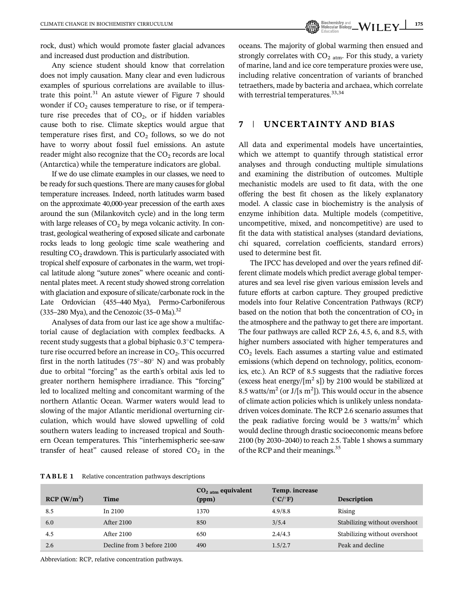rock, dust) which would promote faster glacial advances and increased dust production and distribution.

Any science student should know that correlation does not imply causation. Many clear and even ludicrous examples of spurious correlations are available to illustrate this point. $31$  An astute viewer of Figure 7 should wonder if  $CO<sub>2</sub>$  causes temperature to rise, or if temperature rise precedes that of  $CO<sub>2</sub>$ , or if hidden variables cause both to rise. Climate skeptics would argue that temperature rises first, and  $CO<sub>2</sub>$  follows, so we do not have to worry about fossil fuel emissions. An astute reader might also recognize that the  $CO<sub>2</sub>$  records are local (Antarctica) while the temperature indicators are global.

If we do use climate examples in our classes, we need to be ready for such questions. There are many causes for global temperature increases. Indeed, north latitudes warm based on the approximate 40,000-year precession of the earth axes around the sun (Milankovitch cycle) and in the long term with large releases of  $CO<sub>2</sub>$  by mega volcanic activity. In contrast, geological weathering of exposed silicate and carbonate rocks leads to long geologic time scale weathering and resulting  $CO<sub>2</sub>$  drawdown. This is particularly associated with tropical shelf exposure of carbonates in the warm, wet tropical latitude along "suture zones" where oceanic and continental plates meet. A recent study showed strong correlation with glaciation and exposure of silicate/carbonate rock in the Late Ordovician (455–440 Mya), Permo-Carboniferous (335–280 Mya), and the Cenozoic (35–0 Ma). $32$ 

Analyses of data from our last ice age show a multifactorial cause of deglaciation with complex feedbacks. A recent study suggests that a global biphasic 0.3°C temperature rise occurred before an increase in  $CO<sub>2</sub>$ . This occurred first in the north latitudes  $(75^{\circ}-80^{\circ}$  N) and was probably due to orbital "forcing" as the earth's orbital axis led to greater northern hemisphere irradiance. This "forcing" led to localized melting and concomitant warming of the northern Atlantic Ocean. Warmer waters would lead to slowing of the major Atlantic meridional overturning circulation, which would have slowed upwelling of cold southern waters leading to increased tropical and Southern Ocean temperatures. This "interhemispheric see-saw transfer of heat" caused release of stored  $CO<sub>2</sub>$  in the

oceans. The majority of global warming then ensued and strongly correlates with  $CO<sub>2 atm</sub>$ . For this study, a variety of marine, land and ice core temperature proxies were use, including relative concentration of variants of branched tetraethers, made by bacteria and archaea, which correlate with terrestrial temperatures.<sup>33,34</sup>

#### 7 | UNCERTAINTY AND BIAS

All data and experimental models have uncertainties, which we attempt to quantify through statistical error analyses and through conducting multiple simulations and examining the distribution of outcomes. Multiple mechanistic models are used to fit data, with the one offering the best fit chosen as the likely explanatory model. A classic case in biochemistry is the analysis of enzyme inhibition data. Multiple models (competitive, uncompetitive, mixed, and noncompetitive) are used to fit the data with statistical analyses (standard deviations, chi squared, correlation coefficients, standard errors) used to determine best fit.

The IPCC has developed and over the years refined different climate models which predict average global temperatures and sea level rise given various emission levels and future efforts at carbon capture. They grouped predictive models into four Relative Concentration Pathways (RCP) based on the notion that both the concentration of  $CO<sub>2</sub>$  in the atmosphere and the pathway to get there are important. The four pathways are called RCP 2.6, 4.5, 6, and 8.5, with higher numbers associated with higher temperatures and CO<sup>2</sup> levels. Each assumes a starting value and estimated emissions (which depend on technology, politics, economics, etc.). An RCP of 8.5 suggests that the radiative forces (excess heat energy/ $[m^2 s]$ ) by 2100 would be stabilized at 8.5 watts/ $m^2$  (or J/[s  $m^2$ ]). This would occur in the absence of climate action policies which is unlikely unless nondatadriven voices dominate. The RCP 2.6 scenario assumes that the peak radiative forcing would be 3 watts/ $m<sup>2</sup>$  which would decline through drastic socioeconomic means before 2100 (by 2030–2040) to reach 2.5. Table 1 shows a summary of the RCP and their meanings.<sup>35</sup>

| TABLE 1<br>Relative concentration pathways descriptions |  |
|---------------------------------------------------------|--|
|---------------------------------------------------------|--|

| RCP (W/m <sup>2</sup> ) | Time                       | $CO2 atm$ equivalent<br>(ppm) | Temp. increase<br>$(^{\circ}C/^{\circ}F)$ | <b>Description</b>            |
|-------------------------|----------------------------|-------------------------------|-------------------------------------------|-------------------------------|
| 8.5                     | In 2100                    | 1370                          | 4.9/8.8                                   | Rising                        |
| 6.0                     | After 2100                 | 850                           | 3/5.4                                     | Stabilizing without overshoot |
| 4.5                     | After 2100                 | 650                           | 2.4/4.3                                   | Stabilizing without overshoot |
| 2.6                     | Decline from 3 before 2100 | 490                           | 1.5/2.7                                   | Peak and decline              |

Abbreviation: RCP, relative concentration pathways.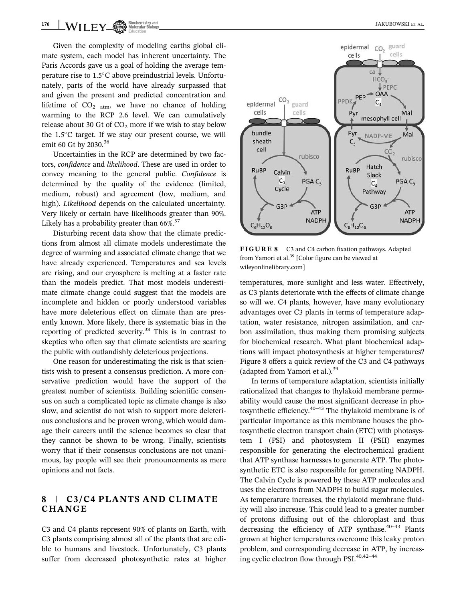Given the complexity of modeling earths global climate system, each model has inherent uncertainty. The Paris Accords gave us a goal of holding the average temperature rise to 1.5°C above preindustrial levels. Unfortunately, parts of the world have already surpassed that and given the present and predicted concentration and lifetime of  $CO<sub>2 atm</sub>$ , we have no chance of holding warming to the RCP 2.6 level. We can cumulatively release about 30 Gt of  $CO<sub>2</sub>$  more if we wish to stay below the 1.5°C target. If we stay our present course, we will emit 60 Gt by 2030.<sup>36</sup>

Uncertainties in the RCP are determined by two factors, confidence and likelihood. These are used in order to convey meaning to the general public. Confidence is determined by the quality of the evidence (limited, medium, robust) and agreement (low, medium, and high). Likelihood depends on the calculated uncertainty. Very likely or certain have likelihoods greater than 90%. Likely has a probability greater than  $66\%$ <sup>37</sup>

Disturbing recent data show that the climate predictions from almost all climate models underestimate the degree of warming and associated climate change that we have already experienced. Temperatures and sea levels are rising, and our cryosphere is melting at a faster rate than the models predict. That most models underestimate climate change could suggest that the models are incomplete and hidden or poorly understood variables have more deleterious effect on climate than are presently known. More likely, there is systematic bias in the reporting of predicted severity. $38$  This is in contrast to skeptics who often say that climate scientists are scaring the public with outlandishly deleterious projections.

One reason for underestimating the risk is that scientists wish to present a consensus prediction. A more conservative prediction would have the support of the greatest number of scientists. Building scientific consensus on such a complicated topic as climate change is also slow, and scientist do not wish to support more deleterious conclusions and be proven wrong, which would damage their careers until the science becomes so clear that they cannot be shown to be wrong. Finally, scientists worry that if their consensus conclusions are not unanimous, lay people will see their pronouncements as mere opinions and not facts.

# 8 | C3/C4 PLANTS AND CLIMATE CHANGE

C3 and C4 plants represent 90% of plants on Earth, with C3 plants comprising almost all of the plants that are edible to humans and livestock. Unfortunately, C3 plants suffer from decreased photosynthetic rates at higher



FIGURE 8 C3 and C4 carbon fixation pathways. Adapted from Yamori et al.<sup>39</sup> [Color figure can be viewed at wileyonlinelibrary.com]

temperatures, more sunlight and less water. Effectively, as C3 plants deteriorate with the effects of climate change so will we. C4 plants, however, have many evolutionary advantages over C3 plants in terms of temperature adaptation, water resistance, nitrogen assimilation, and carbon assimilation, thus making them promising subjects for biochemical research. What plant biochemical adaptions will impact photosynthesis at higher temperatures? Figure 8 offers a quick review of the C3 and C4 pathways (adapted from Yamori et al.).<sup>39</sup>

In terms of temperature adaptation, scientists initially rationalized that changes to thylakoid membrane permeability would cause the most significant decrease in photosynthetic efficiency. $40-43$  The thylakoid membrane is of particular importance as this membrane houses the photosynthetic electron transport chain (ETC) with photosystem I (PSI) and photosystem II (PSII) enzymes responsible for generating the electrochemical gradient that ATP synthase harnesses to generate ATP. The photosynthetic ETC is also responsible for generating NADPH. The Calvin Cycle is powered by these ATP molecules and uses the electrons from NADPH to build sugar molecules. As temperature increases, the thylakoid membrane fluidity will also increase. This could lead to a greater number of protons diffusing out of the chloroplast and thus decreasing the efficiency of ATP synthase.<sup>40-43</sup> Plants grown at higher temperatures overcome this leaky proton problem, and corresponding decrease in ATP, by increasing cyclic electron flow through PSI.40,42–<sup>44</sup>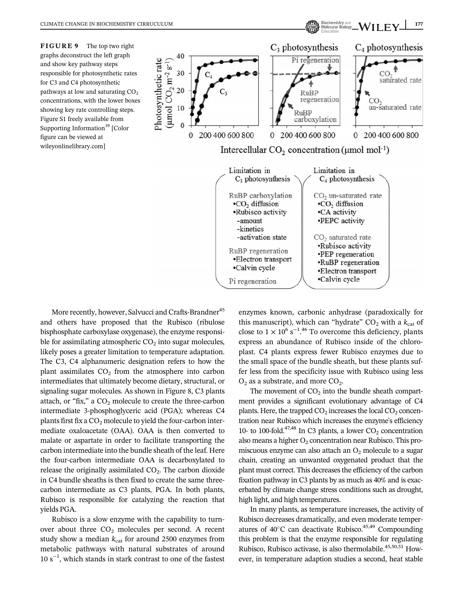FIGURE 9 The top two right graphs deconstruct the left graph and show key pathway steps responsible for photosynthetic rates for C3 and C4 photosynthetic pathways at low and saturating CO<sub>2</sub> concentrations, with the lower boxes showing key rate controlling steps. Figure S1 freely available from Supporting Information<sup>39</sup> [Color figure can be viewed at wileyonlinelibrary.com]



More recently, however, Salvucci and Crafts-Brandner<sup>45</sup> and others have proposed that the Rubisco (ribulose bisphosphate carboxylase oxygenase), the enzyme responsible for assimilating atmospheric  $CO<sub>2</sub>$  into sugar molecules, likely poses a greater limitation to temperature adaptation. The C3, C4 alphanumeric designation refers to how the plant assimilates  $CO<sub>2</sub>$  from the atmosphere into carbon intermediates that ultimately become dietary, structural, or signaling sugar molecules. As shown in Figure 8, C3 plants attach, or "fix," a  $CO<sub>2</sub>$  molecule to create the three-carbon intermediate 3-phosphoglyceric acid (PGA); whereas C4 plants first fix a  $CO<sub>2</sub>$  molecule to yield the four-carbon intermediate oxaloacetate (OAA). OAA is then converted to malate or aspartate in order to facilitate transporting the carbon intermediate into the bundle sheath of the leaf. Here the four-carbon intermediate OAA is decarboxylated to release the originally assimilated  $CO<sub>2</sub>$ . The carbon dioxide in C4 bundle sheaths is then fixed to create the same threecarbon intermediate as C3 plants, PGA. In both plants, Rubisco is responsible for catalyzing the reaction that yields PGA.

Rubisco is a slow enzyme with the capability to turnover about three  $CO<sub>2</sub>$  molecules per second. A recent study show a median  $k_{cat}$  for around 2500 enzymes from metabolic pathways with natural substrates of around 10 s−<sup>1</sup> , which stands in stark contrast to one of the fastest

enzymes known, carbonic anhydrase (paradoxically for this manuscript), which can "hydrate"  $CO<sub>2</sub>$  with a  $k_{cat}$  of close to  $1 \times 10^6$  s<sup>-1</sup>.<sup>46</sup> To overcome this deficiency, plants express an abundance of Rubisco inside of the chloroplast. C4 plants express fewer Rubisco enzymes due to the small space of the bundle sheath, but these plants suffer less from the specificity issue with Rubisco using less  $O_2$  as a substrate, and more  $CO_2$ .

The movement of  $CO<sub>2</sub>$  into the bundle sheath compartment provides a significant evolutionary advantage of C4 plants. Here, the trapped  $CO<sub>2</sub>$  increases the local  $CO<sub>2</sub>$  concentration near Rubisco which increases the enzyme's efficiency 10- to 100-fold.<sup>47,48</sup> In C3 plants, a lower  $CO_2$  concentration also means a higher  $O_2$  concentration near Rubisco. This promiscuous enzyme can also attach an  $O_2$  molecule to a sugar chain, creating an unwanted oxygenated product that the plant must correct. This decreases the efficiency of the carbon fixation pathway in C3 plants by as much as 40% and is exacerbated by climate change stress conditions such as drought, high light, and high temperatures.

In many plants, as temperature increases, the activity of Rubisco decreases dramatically, and even moderate temperatures of 40°C can deactivate Rubisco.<sup>45,49</sup> Compounding this problem is that the enzyme responsible for regulating Rubisco, Rubisco activase, is also thermolabile.<sup>45,50,51</sup> However, in temperature adaption studies a second, heat stable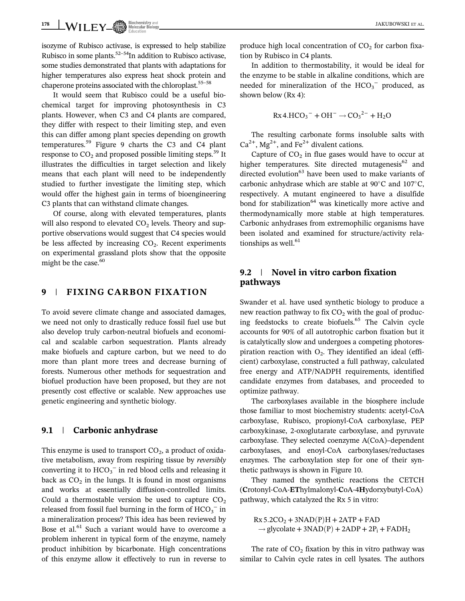isozyme of Rubisco activase, is expressed to help stabilize Rubisco in some plants.<sup>52–54</sup>In addition to Rubisco activase, some studies demonstrated that plants with adaptations for higher temperatures also express heat shock protein and chaperone proteins associated with the chloroplast.<sup>55-58</sup>

It would seem that Rubisco could be a useful biochemical target for improving photosynthesis in C3 plants. However, when C3 and C4 plants are compared, they differ with respect to their limiting step, and even this can differ among plant species depending on growth temperatures.<sup>59</sup> Figure 9 charts the C3 and C4 plant response to  $CO<sub>2</sub>$  and proposed possible limiting steps.<sup>39</sup> It illustrates the difficulties in target selection and likely means that each plant will need to be independently studied to further investigate the limiting step, which would offer the highest gain in terms of bioengineering C3 plants that can withstand climate changes.

Of course, along with elevated temperatures, plants will also respond to elevated  $\mathrm{CO}_2$  levels. Theory and supportive observations would suggest that C4 species would be less affected by increasing  $CO<sub>2</sub>$ . Recent experiments on experimental grassland plots show that the opposite might be the case.<sup>60</sup>

#### 9 | FIXING CARBON FIXATION

To avoid severe climate change and associated damages, we need not only to drastically reduce fossil fuel use but also develop truly carbon-neutral biofuels and economical and scalable carbon sequestration. Plants already make biofuels and capture carbon, but we need to do more than plant more trees and decrease burning of forests. Numerous other methods for sequestration and biofuel production have been proposed, but they are not presently cost effective or scalable. New approaches use genetic engineering and synthetic biology.

#### 9.1 | Carbonic anhydrase

This enzyme is used to transport  $\mathrm{CO}_2$ , a product of oxidative metabolism, away from respiring tissue by reversibly converting it to  $HCO_3^-$  in red blood cells and releasing it back as  $CO<sub>2</sub>$  in the lungs. It is found in most organisms and works at essentially diffusion-controlled limits. Could a thermostable version be used to capture  $CO<sub>2</sub>$ released from fossil fuel burning in the form of  $HCO_3^-$  in a mineralization process? This idea has been reviewed by Bose et al.<sup>61</sup> Such a variant would have to overcome a problem inherent in typical form of the enzyme, namely product inhibition by bicarbonate. High concentrations of this enzyme allow it effectively to run in reverse to

produce high local concentration of  $CO<sub>2</sub>$  for carbon fixation by Rubisco in C4 plants.

In addition to thermostability, it would be ideal for the enzyme to be stable in alkaline conditions, which are needed for mineralization of the  $HCO_3^-$  produced, as shown below (Rx 4):

$$
Rx\,4.HCO_3^- + OH^- \rightarrow CO_3^{2-} + H_2O
$$

The resulting carbonate forms insoluble salts with  $Ca^{2+}$ , Mg<sup>2+</sup>, and Fe<sup>2+</sup> divalent cations.

Capture of  $CO<sub>2</sub>$  in flue gases would have to occur at higher temperatures. Site directed mutagenesis $62$  and directed evolution $63$  have been used to make variants of carbonic anhydrase which are stable at  $90^{\circ}$ C and  $107^{\circ}$ C, respectively. A mutant engineered to have a disulfide bond for stabilization<sup>64</sup> was kinetically more active and thermodynamically more stable at high temperatures. Carbonic anhydrases from extremophilic organisms have been isolated and examined for structure/activity relationships as well.<sup>61</sup>

### 9.2 | Novel in vitro carbon fixation pathways

Swander et al. have used synthetic biology to produce a new reaction pathway to fix  $CO<sub>2</sub>$  with the goal of producing feedstocks to create biofuels.<sup>65</sup> The Calvin cycle accounts for 90% of all autotrophic carbon fixation but it is catalytically slow and undergoes a competing photorespiration reaction with  $O_2$ . They identified an ideal (efficient) carboxylase, constructed a full pathway, calculated free energy and ATP/NADPH requirements, identified candidate enzymes from databases, and proceeded to optimize pathway.

The carboxylases available in the biosphere include those familiar to most biochemistry students: acetyl-CoA carboxylase, Rubisco, propionyl-CoA carboxylase, PEP carboxykinase, 2-oxoglutarate carboxylase, and pyruvate carboxylase. They selected coenzyme A(CoA)–dependent carboxylases, and enoyl-CoA carboxylases/reductases enzymes. The carboxylation step for one of their synthetic pathways is shown in Figure 10.

They named the synthetic reactions the CETCH (Crotonyl-CoA-EThylmalonyl-CoA-4Hydorxybutyl-CoA) pathway, which catalyzed the Rx 5 in vitro:

 $Rx 5.2CO<sub>2</sub> + 3NAD(P)H + 2ATP + FAD$  $\rightarrow$  glycolate + 3NAD(P) + 2ADP + 2P<sub>i</sub> + FADH<sub>2</sub>

The rate of  $CO<sub>2</sub>$  fixation by this in vitro pathway was similar to Calvin cycle rates in cell lysates. The authors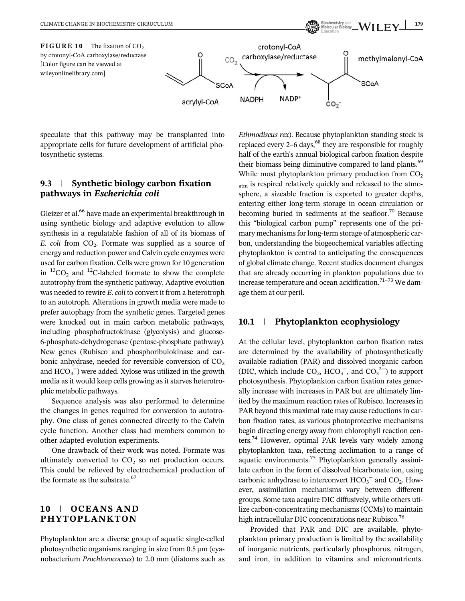

speculate that this pathway may be transplanted into appropriate cells for future development of artificial photosynthetic systems.

### 9.3 | Synthetic biology carbon fixation pathways in Escherichia coli

Gleizer et al.<sup>66</sup> have made an experimental breakthrough in using synthetic biology and adaptive evolution to allow synthesis in a regulatable fashion of all of its biomass of  $E.$  coli from  $CO<sub>2</sub>$ . Formate was supplied as a source of energy and reduction power and Calvin cycle enzymes were used for carbon fixation. Cells were grown for 10 generation in  ${}^{13}CO_2$  and  ${}^{12}C$ -labeled formate to show the complete autotrophy from the synthetic pathway. Adaptive evolution was needed to rewire E. coli to convert it from a heterotroph to an autotroph. Alterations in growth media were made to prefer autophagy from the synthetic genes. Targeted genes were knocked out in main carbon metabolic pathways, including phosphofructokinase (glycolysis) and glucose-6-phosphate-dehydrogenase (pentose-phosphate pathway). New genes (Rubisco and phosphoribulokinase and carbonic anhydrase, needed for reversible conversion of  $CO<sub>2</sub>$ and HCO<sub>3</sub><sup>-</sup>) were added. Xylose was utilized in the growth media as it would keep cells growing as it starves heterotrophic metabolic pathways.

Sequence analysis was also performed to determine the changes in genes required for conversion to autotrophy. One class of genes connected directly to the Calvin cycle function. Another class had members common to other adapted evolution experiments.

One drawback of their work was noted. Formate was ultimately converted to  $CO<sub>2</sub>$  so net production occurs. This could be relieved by electrochemical production of the formate as the substrate.<sup>67</sup>

#### 10 | OCEANS AND PHYTOPLANKTON

Phytoplankton are a diverse group of aquatic single-celled photosynthetic organisms ranging in size from 0.5 μm (cyanobacterium Prochlorococcus) to 2.0 mm (diatoms such as

Ethmodiscus rex). Because phytoplankton standing stock is replaced every  $2-6$  days,  $68$  they are responsible for roughly half of the earth's annual biological carbon fixation despite their biomass being diminutive compared to land plants.<sup>69</sup> While most phytoplankton primary production from  $CO<sub>2</sub>$ <sub>atm</sub> is respired relatively quickly and released to the atmosphere, a sizeable fraction is exported to greater depths, entering either long-term storage in ocean circulation or becoming buried in sediments at the seafloor.<sup>70</sup> Because this "biological carbon pump" represents one of the primary mechanisms for long-term storage of atmospheric carbon, understanding the biogeochemical variables affecting phytoplankton is central to anticipating the consequences of global climate change. Recent studies document changes that are already occurring in plankton populations due to increase temperature and ocean acidification.<sup>71-73</sup> We damage them at our peril.

### 10.1 | Phytoplankton ecophysiology

At the cellular level, phytoplankton carbon fixation rates are determined by the availability of photosynthetically available radiation (PAR) and dissolved inorganic carbon (DIC, which include  $CO_2$ , HCO<sub>3</sub><sup>-</sup>, and  $CO_3^2$ <sup>2-</sup>) to support photosynthesis. Phytoplankton carbon fixation rates generally increase with increases in PAR but are ultimately limited by the maximum reaction rates of Rubisco. Increases in PAR beyond this maximal rate may cause reductions in carbon fixation rates, as various photoprotective mechanisms begin directing energy away from chlorophyll reaction centers.<sup>74</sup> However, optimal PAR levels vary widely among phytoplankton taxa, reflecting acclimation to a range of aquatic environments.<sup>75</sup> Phytoplankton generally assimilate carbon in the form of dissolved bicarbonate ion, using carbonic anhydrase to interconvert  $HCO_3^-$  and  $CO_2$ . However, assimilation mechanisms vary between different groups. Some taxa acquire DIC diffusively, while others utilize carbon-concentrating mechanisms (CCMs) to maintain high intracellular DIC concentrations near Rubisco.<sup>76</sup>

Provided that PAR and DIC are available, phytoplankton primary production is limited by the availability of inorganic nutrients, particularly phosphorus, nitrogen, and iron, in addition to vitamins and micronutrients.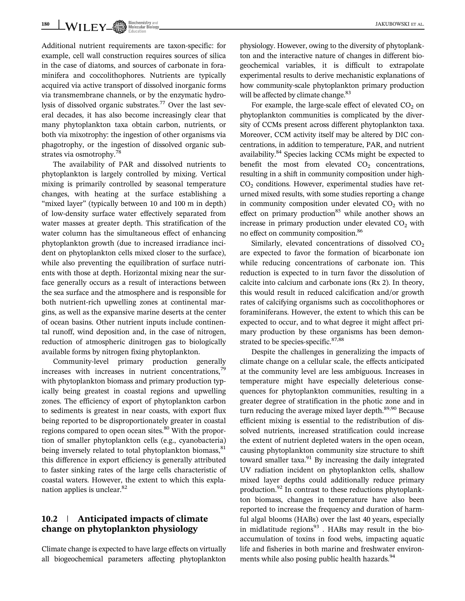Additional nutrient requirements are taxon-specific: for example, cell wall construction requires sources of silica in the case of diatoms, and sources of carbonate in foraminifera and coccolithophores. Nutrients are typically acquired via active transport of dissolved inorganic forms via transmembrane channels, or by the enzymatic hydrolysis of dissolved organic substrates.<sup>77</sup> Over the last several decades, it has also become increasingly clear that many phytoplankton taxa obtain carbon, nutrients, or both via mixotrophy: the ingestion of other organisms via phagotrophy, or the ingestion of dissolved organic substrates via osmotrophy.<sup>78</sup>

The availability of PAR and dissolved nutrients to phytoplankton is largely controlled by mixing. Vertical mixing is primarily controlled by seasonal temperature changes, with heating at the surface establishing a "mixed layer" (typically between 10 and 100 m in depth) of low-density surface water effectively separated from water masses at greater depth. This stratification of the water column has the simultaneous effect of enhancing phytoplankton growth (due to increased irradiance incident on phytoplankton cells mixed closer to the surface), while also preventing the equilibration of surface nutrients with those at depth. Horizontal mixing near the surface generally occurs as a result of interactions between the sea surface and the atmosphere and is responsible for both nutrient-rich upwelling zones at continental margins, as well as the expansive marine deserts at the center of ocean basins. Other nutrient inputs include continental runoff, wind deposition and, in the case of nitrogen, reduction of atmospheric dinitrogen gas to biologically available forms by nitrogen fixing phytoplankton.

Community-level primary production generally increases with increases in nutrient concentrations, $79$ with phytoplankton biomass and primary production typically being greatest in coastal regions and upwelling zones. The efficiency of export of phytoplankton carbon to sediments is greatest in near coasts, with export flux being reported to be disproportionately greater in coastal regions compared to open ocean sites.<sup>80</sup> With the proportion of smaller phytoplankton cells (e.g., cyanobacteria) being inversely related to total phytoplankton biomass, <sup>81</sup> this difference in export efficiency is generally attributed to faster sinking rates of the large cells characteristic of coastal waters. However, the extent to which this explanation applies is unclear.<sup>82</sup>

#### 10.2 | Anticipated impacts of climate change on phytoplankton physiology

Climate change is expected to have large effects on virtually all biogeochemical parameters affecting phytoplankton physiology. However, owing to the diversity of phytoplankton and the interactive nature of changes in different biogeochemical variables, it is difficult to extrapolate experimental results to derive mechanistic explanations of how community-scale phytoplankton primary production will be affected by climate change.<sup>83</sup>

For example, the large-scale effect of elevated  $CO<sub>2</sub>$  on phytoplankton communities is complicated by the diversity of CCMs present across different phytoplankton taxa. Moreover, CCM activity itself may be altered by DIC concentrations, in addition to temperature, PAR, and nutrient availability.<sup>84</sup> Species lacking CCMs might be expected to benefit the most from elevated  $CO<sub>2</sub>$  concentrations, resulting in a shift in community composition under high- $CO<sub>2</sub>$  conditions. However, experimental studies have returned mixed results, with some studies reporting a change in community composition under elevated  $CO<sub>2</sub>$  with no effect on primary production<sup>85</sup> while another shows an increase in primary production under elevated  $CO<sub>2</sub>$  with no effect on community composition.<sup>86</sup>

Similarly, elevated concentrations of dissolved  $CO<sub>2</sub>$ are expected to favor the formation of bicarbonate ion while reducing concentrations of carbonate ion. This reduction is expected to in turn favor the dissolution of calcite into calcium and carbonate ions (Rx 2). In theory, this would result in reduced calcification and/or growth rates of calcifying organisms such as coccolithophores or foraminiferans. However, the extent to which this can be expected to occur, and to what degree it might affect primary production by these organisms has been demonstrated to be species-specific.<sup>87,88</sup>

Despite the challenges in generalizing the impacts of climate change on a cellular scale, the effects anticipated at the community level are less ambiguous. Increases in temperature might have especially deleterious consequences for phytoplankton communities, resulting in a greater degree of stratification in the photic zone and in turn reducing the average mixed layer depth. $89,90$  Because efficient mixing is essential to the redistribution of dissolved nutrients, increased stratification could increase the extent of nutrient depleted waters in the open ocean, causing phytoplankton community size structure to shift toward smaller taxa. $91$  By increasing the daily integrated UV radiation incident on phytoplankton cells, shallow mixed layer depths could additionally reduce primary production.<sup>92</sup> In contrast to these reductions phytoplankton biomass, changes in temperature have also been reported to increase the frequency and duration of harmful algal blooms (HABs) over the last 40 years, especially in midlatitude regions $93$ . HABs may result in the bioaccumulation of toxins in food webs, impacting aquatic life and fisheries in both marine and freshwater environments while also posing public health hazards.<sup>94</sup>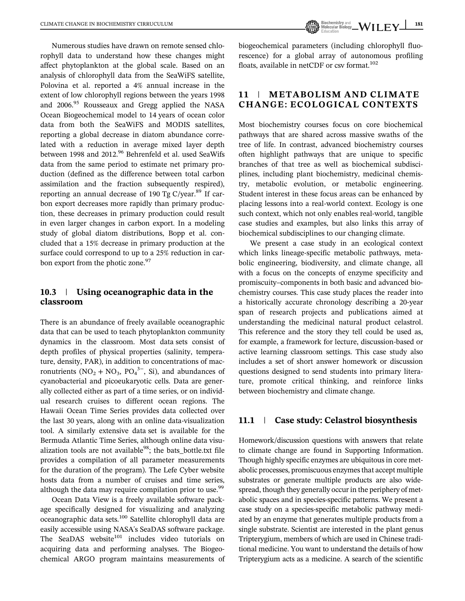Numerous studies have drawn on remote sensed chlorophyll data to understand how these changes might affect phytoplankton at the global scale. Based on an analysis of chlorophyll data from the SeaWiFS satellite, Polovina et al. reported a 4% annual increase in the extent of low chlorophyll regions between the years 1998 and  $2006$ .<sup>95</sup> Rousseaux and Gregg applied the NASA Ocean Biogeochemical model to 14 years of ocean color data from both the SeaWiFS and MODIS satellites, reporting a global decrease in diatom abundance correlated with a reduction in average mixed layer depth between 1998 and 2012.<sup>96</sup> Behrenfeld et al. used SeaWifs data from the same period to estimate net primary production (defined as the difference between total carbon assimilation and the fraction subsequently respired), reporting an annual decrease of 190 Tg C/year.<sup>89</sup> If carbon export decreases more rapidly than primary production, these decreases in primary production could result in even larger changes in carbon export. In a modeling study of global diatom distributions, Bopp et al. concluded that a 15% decrease in primary production at the surface could correspond to up to a 25% reduction in carbon export from the photic zone.<sup>97</sup>

## 10.3 | Using oceanographic data in the classroom

There is an abundance of freely available oceanographic data that can be used to teach phytoplankton community dynamics in the classroom. Most data sets consist of depth profiles of physical properties (salinity, temperature, density, PAR), in addition to concentrations of macronutrients ( $NO_2 + NO_3$ ,  $PO_4^{3-}$ , Si), and abundances of cyanobacterial and picoeukaryotic cells. Data are generally collected either as part of a time series, or on individual research cruises to different ocean regions. The Hawaii Ocean Time Series provides data collected over the last 30 years, along with an online data-visualization tool. A similarly extensive data set is available for the Bermuda Atlantic Time Series, although online data visualization tools are not available $98$ ; the bats\_bottle.txt file provides a compilation of all parameter measurements for the duration of the program). The Lefe Cyber website hosts data from a number of cruises and time series, although the data may require compilation prior to use.<sup>99</sup>

Ocean Data View is a freely available software package specifically designed for visualizing and analyzing oceanographic data sets.<sup>100</sup> Satellite chlorophyll data are easily accessible using NASA's SeaDAS software package. The SeaDAS website<sup>101</sup> includes video tutorials on acquiring data and performing analyses. The Biogeochemical ARGO program maintains measurements of biogeochemical parameters (including chlorophyll fluorescence) for a global array of autonomous profiling floats, available in netCDF or csv format.<sup>102</sup>

#### 11 | METABOLISM AND CLIMATE CHANGE: ECOLOGICAL CONTEXTS

Most biochemistry courses focus on core biochemical pathways that are shared across massive swaths of the tree of life. In contrast, advanced biochemistry courses often highlight pathways that are unique to specific branches of that tree as well as biochemical subdisciplines, including plant biochemistry, medicinal chemistry, metabolic evolution, or metabolic engineering. Student interest in these focus areas can be enhanced by placing lessons into a real-world context. Ecology is one such context, which not only enables real-world, tangible case studies and examples, but also links this array of biochemical subdisciplines to our changing climate.

We present a case study in an ecological context which links lineage-specific metabolic pathways, metabolic engineering, biodiversity, and climate change, all with a focus on the concepts of enzyme specificity and promiscuity–components in both basic and advanced biochemistry courses. This case study places the reader into a historically accurate chronology describing a 20-year span of research projects and publications aimed at understanding the medicinal natural product celastrol. This reference and the story they tell could be used as, for example, a framework for lecture, discussion-based or active learning classroom settings. This case study also includes a set of short answer homework or discussion questions designed to send students into primary literature, promote critical thinking, and reinforce links between biochemistry and climate change.

#### 11.1 | Case study: Celastrol biosynthesis

Homework/discussion questions with answers that relate to climate change are found in Supporting Information. Though highly specific enzymes are ubiquitous in core metabolic processes, promiscuous enzymes that accept multiple substrates or generate multiple products are also widespread, though they generally occur in the periphery of metabolic spaces and in species-specific patterns. We present a case study on a species-specific metabolic pathway mediated by an enzyme that generates multiple products from a single substrate. Scientist are interested in the plant genus Tripterygium, members of which are used in Chinese traditional medicine. You want to understand the details of how Tripterygium acts as a medicine. A search of the scientific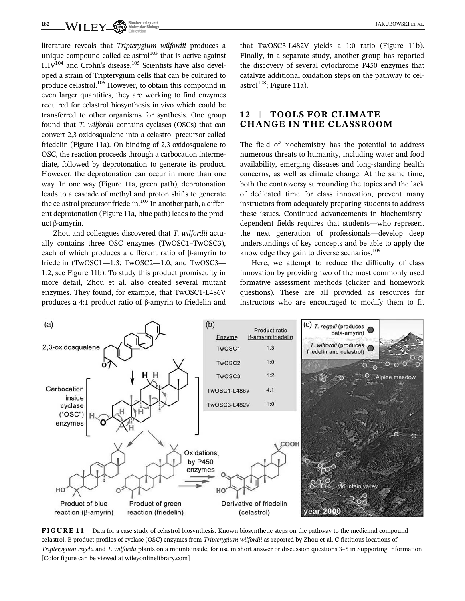literature reveals that Tripterygium wilfordii produces a unique compound called celastrol<sup>103</sup> that is active against  $HIV^{104}$  and Crohn's disease.<sup>105</sup> Scientists have also developed a strain of Tripterygium cells that can be cultured to produce celastrol.<sup>106</sup> However, to obtain this compound in even larger quantities, they are working to find enzymes required for celastrol biosynthesis in vivo which could be transferred to other organisms for synthesis. One group found that T. wilfordii contains cyclases (OSCs) that can convert 2,3-oxidosqualene into a celastrol precursor called friedelin (Figure 11a). On binding of 2,3-oxidosqualene to OSC, the reaction proceeds through a carbocation intermediate, followed by deprotonation to generate its product. However, the deprotonation can occur in more than one way. In one way (Figure 11a, green path), deprotonation leads to a cascade of methyl and proton shifts to generate the celastrol precursor friedelin.<sup>107</sup> In another path, a different deprotonation (Figure 11a, blue path) leads to the product β-amyrin.

Zhou and colleagues discovered that T. wilfordii actually contains three OSC enzymes (TwOSC1–TwOSC3), each of which produces a different ratio of β-amyrin to friedelin (TwOSC1—1:3; TwOSC2—1:0, and TwOSC3— 1:2; see Figure 11b). To study this product promiscuity in more detail, Zhou et al. also created several mutant enzymes. They found, for example, that TwOSC1-L486V produces a 4:1 product ratio of β-amyrin to friedelin and that TwOSC3-L482V yields a 1:0 ratio (Figure 11b). Finally, in a separate study, another group has reported the discovery of several cytochrome P450 enzymes that catalyze additional oxidation steps on the pathway to celastrol<sup>108</sup>; Figure 11a).

# 12 | TOOLS FOR CLIMATE CHANGE IN THE CLASSROOM

The field of biochemistry has the potential to address numerous threats to humanity, including water and food availability, emerging diseases and long-standing health concerns, as well as climate change. At the same time, both the controversy surrounding the topics and the lack of dedicated time for class innovation, prevent many instructors from adequately preparing students to address these issues. Continued advancements in biochemistrydependent fields requires that students—who represent the next generation of professionals—develop deep understandings of key concepts and be able to apply the knowledge they gain to diverse scenarios.<sup>109</sup>

Here, we attempt to reduce the difficulty of class innovation by providing two of the most commonly used formative assessment methods (clicker and homework questions). These are all provided as resources for instructors who are encouraged to modify them to fit



FIGURE 11 Data for a case study of celastrol biosynthesis. Known biosynthetic steps on the pathway to the medicinal compound celastrol. B product profiles of cyclase (OSC) enzymes from Tripterygium wilfordii as reported by Zhou et al. C fictitious locations of Tripterygium regelii and T. wilfordii plants on a mountainside, for use in short answer or discussion questions 3–5 in Supporting Information [Color figure can be viewed at wileyonlinelibrary.com]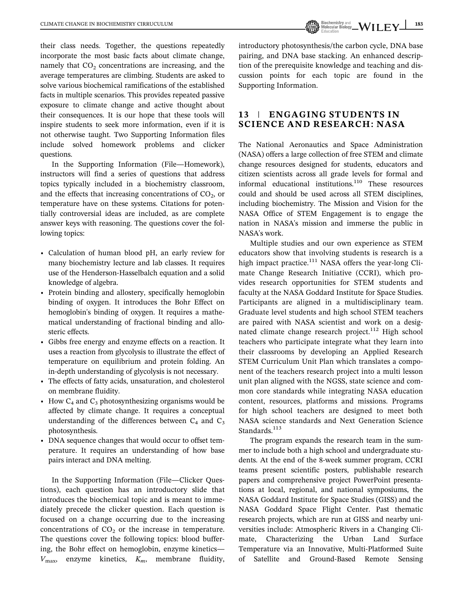their class needs. Together, the questions repeatedly incorporate the most basic facts about climate change, namely that  $CO<sub>2</sub>$  concentrations are increasing, and the average temperatures are climbing. Students are asked to solve various biochemical ramifications of the established facts in multiple scenarios. This provides repeated passive exposure to climate change and active thought about their consequences. It is our hope that these tools will inspire students to seek more information, even if it is not otherwise taught. Two Supporting Information files include solved homework problems and clicker questions.

In the Supporting Information (File—Homework), instructors will find a series of questions that address topics typically included in a biochemistry classroom, and the effects that increasing concentrations of  $CO<sub>2</sub>$ , or temperature have on these systems. Citations for potentially controversial ideas are included, as are complete answer keys with reasoning. The questions cover the following topics:

- Calculation of human blood pH, an early review for many biochemistry lecture and lab classes. It requires use of the Henderson-Hasselbalch equation and a solid knowledge of algebra.
- Protein binding and allostery, specifically hemoglobin binding of oxygen. It introduces the Bohr Effect on hemoglobin's binding of oxygen. It requires a mathematical understanding of fractional binding and allosteric effects.
- Gibbs free energy and enzyme effects on a reaction. It uses a reaction from glycolysis to illustrate the effect of temperature on equilibrium and protein folding. An in-depth understanding of glycolysis is not necessary.
- The effects of fatty acids, unsaturation, and cholesterol on membrane fluidity.
- How  $C_4$  and  $C_3$  photosynthesizing organisms would be affected by climate change. It requires a conceptual understanding of the differences between  $C_4$  and  $C_3$ photosynthesis.
- DNA sequence changes that would occur to offset temperature. It requires an understanding of how base pairs interact and DNA melting.

In the Supporting Information (File—Clicker Questions), each question has an introductory slide that introduces the biochemical topic and is meant to immediately precede the clicker question. Each question is focused on a change occurring due to the increasing concentrations of  $CO<sub>2</sub>$  or the increase in temperature. The questions cover the following topics: blood buffering, the Bohr effect on hemoglobin, enzyme kinetics—  $V_{\text{max}}$ , enzyme kinetics,  $K_m$ , membrane fluidity,

## 13 | ENGAGING STUDENTS IN SCIENCE AND RESEARCH: NASA

Supporting Information.

The National Aeronautics and Space Administration (NASA) offers a large collection of free STEM and climate change resources designed for students, educators and citizen scientists across all grade levels for formal and informal educational institutions. $110$  These resources could and should be used across all STEM disciplines, including biochemistry. The Mission and Vision for the NASA Office of STEM Engagement is to engage the nation in NASA's mission and immerse the public in NASA's work.

Multiple studies and our own experience as STEM educators show that involving students is research is a high impact practice.<sup>111</sup> NASA offers the year-long Climate Change Research Initiative (CCRI), which provides research opportunities for STEM students and faculty at the NASA Goddard Institute for Space Studies. Participants are aligned in a multidisciplinary team. Graduate level students and high school STEM teachers are paired with NASA scientist and work on a designated climate change research project. $112$  High school teachers who participate integrate what they learn into their classrooms by developing an Applied Research STEM Curriculum Unit Plan which translates a component of the teachers research project into a multi lesson unit plan aligned with the NGSS, state science and common core standards while integrating NASA education content, resources, platforms and missions. Programs for high school teachers are designed to meet both NASA science standards and Next Generation Science Standards.<sup>113</sup>

The program expands the research team in the summer to include both a high school and undergraduate students. At the end of the 8-week summer program, CCRI teams present scientific posters, publishable research papers and comprehensive project PowerPoint presentations at local, regional, and national symposiums, the NASA Goddard Institute for Space Studies (GISS) and the NASA Goddard Space Flight Center. Past thematic research projects, which are run at GISS and nearby universities include: Atmospheric Rivers in a Changing Climate, Characterizing the Urban Land Surface Temperature via an Innovative, Multi-Platformed Suite of Satellite and Ground-Based Remote Sensing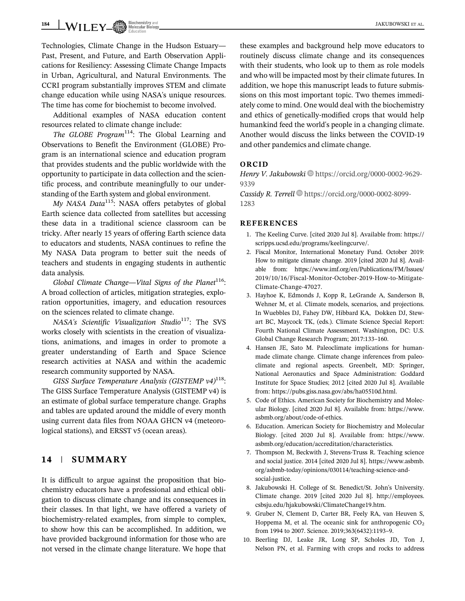184 JAKUBOWSKI ET AL.

Technologies, Climate Change in the Hudson Estuary— Past, Present, and Future, and Earth Observation Applications for Resiliency: Assessing Climate Change Impacts in Urban, Agricultural, and Natural Environments. The CCRI program substantially improves STEM and climate change education while using NASA's unique resources. The time has come for biochemist to become involved.

Additional examples of NASA education content resources related to climate change include:

The GLOBE Program<sup>114</sup>: The Global Learning and Observations to Benefit the Environment (GLOBE) Program is an international science and education program that provides students and the public worldwide with the opportunity to participate in data collection and the scientific process, and contribute meaningfully to our understanding of the Earth system and global environment.

 $My$  NASA Data<sup>115</sup>: NASA offers petabytes of global Earth science data collected from satellites but accessing these data in a traditional science classroom can be tricky. After nearly 15 years of offering Earth science data to educators and students, NASA continues to refine the My NASA Data program to better suit the needs of teachers and students in engaging students in authentic data analysis.

Global Climate Change—Vital Signs of the Planet<sup>116</sup>: A broad collection of articles, mitigation strategies, exploration opportunities, imagery, and education resources on the sciences related to climate change.

NASA's Scientific Visualization Studio<sup>117</sup>: The SVS works closely with scientists in the creation of visualizations, animations, and images in order to promote a greater understanding of Earth and Space Science research activities at NASA and within the academic research community supported by NASA.

GISS Surface Temperature Analysis (GISTEMP  $v4)^{118}$ : The GISS Surface Temperature Analysis (GISTEMP v4) is an estimate of global surface temperature change. Graphs and tables are updated around the middle of every month using current data files from NOAA GHCN v4 (meteorological stations), and ERSST v5 (ocean areas).

### 14 | SUMMARY

It is difficult to argue against the proposition that biochemistry educators have a professional and ethical obligation to discuss climate change and its consequences in their classes. In that light, we have offered a variety of biochemistry-related examples, from simple to complex, to show how this can be accomplished. In addition, we have provided background information for those who are not versed in the climate change literature. We hope that

these examples and background help move educators to routinely discuss climate change and its consequences with their students, who look up to them as role models and who will be impacted most by their climate futures. In addition, we hope this manuscript leads to future submissions on this most important topic. Two themes immediately come to mind. One would deal with the biochemistry and ethics of genetically-modified crops that would help humankind feed the world's people in a changing climate. Another would discuss the links between the COVID-19 and other pandemics and climate change.

#### ORCID

Henry V. Jakubowski  $\Phi$  https://orcid.org/0000-0002-9629-9339

Cassidy R. Terrell  $\blacksquare$  https://orcid.org/0000-0002-8099-1283

#### REFERENCES

- 1. The Keeling Curve. [cited 2020 Jul 8]. Available from: https:// scripps.ucsd.edu/programs/keelingcurve/.
- 2. Fiscal Monitor, International Monetary Fund. October 2019: How to mitigate climate change. 2019 [cited 2020 Jul 8]. Available from: https://www.imf.org/en/Publications/FM/Issues/ 2019/10/16/Fiscal-Monitor-October-2019-How-to-Mitigate-Climate-Change-47027.
- 3. Hayhoe K, Edmonds J, Kopp R, LeGrande A, Sanderson B, Wehner M, et al. Climate models, scenarios, and projections. In Wuebbles DJ, Fahey DW, Hibbard KA, Dokken DJ, Stewart BC, Maycock TK, (eds.). Climate Science Special Report: Fourth National Climate Assessment. Washington, DC: U.S. Global Change Research Program; 2017:133–160.
- 4. Hansen JE, Sato M. Paleoclimate implications for humanmade climate change. Climate change inferences from paleoclimate and regional aspects. Greenbelt, MD: Springer, National Aeronautics and Space Administration: Goddard Institute for Space Studies; 2012 [cited 2020 Jul 8]. Available from: https://pubs.giss.nasa.gov/abs/ha05510d.html.
- 5. Code of Ethics. American Society for Biochemistry and Molecular Biology. [cited 2020 Jul 8]. Available from: https://www. asbmb.org/about/code-of-ethics.
- 6. Education. American Society for Biochemistry and Molecular Biology. [cited 2020 Jul 8]. Available from: https://www. asbmb.org/education/accreditation/characteristics.
- 7. Thompson M, Beckwith J, Stevens-Truss R. Teaching science and social justice. 2014 [cited 2020 Jul 8]. https://www.asbmb. org/asbmb-today/opinions/030114/teaching-science-andsocial-justice.
- 8. Jakubowski H. College of St. Benedict/St. John's University. Climate change. 2019 [cited 2020 Jul 8]. http://employees. csbsju.edu/hjakubowski/ClimateChange19.htm.
- 9. Gruber N, Clement D, Carter BR, Feely RA, van Heuven S, Hoppema M, et al. The oceanic sink for anthropogenic  $CO<sub>2</sub>$ from 1994 to 2007. Science. 2019;363(6432):1193–9.
- 10. Beerling DJ, Leake JR, Long SP, Scholes JD, Ton J, Nelson PN, et al. Farming with crops and rocks to address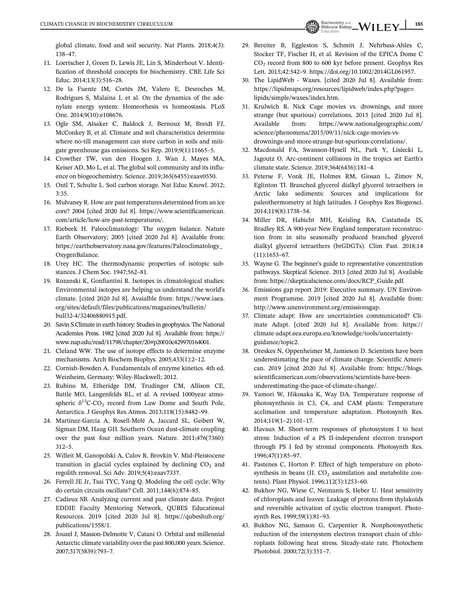global climate, food and soil security. Nat Plants. 2018;4(3): 138–47.

- 11. Loertscher J, Green D, Lewis JE, Lin S, Minderhout V. Identification of threshold concepts for biochemistry. CBE Life Sci Educ. 2014;13(3):516–28.
- 12. De la Fuente IM, Cortés JM, Valero E, Desroches M, Rodrigues S, Malaina I, et al. On the dynamics of the adenylate energy system: Homeorhesis vs homeostasis. PLoS One. 2014;9(10):e108676.
- 13. Ogle SM, Alsaker C, Baldock J, Bernoux M, Breidt FJ, McConkey B, et al. Climate and soil characteristics determine where no-till management can store carbon in soils and mitigate greenhouse gas emissions. Sci Rep. 2019;9(1):11665–5.
- 14. Crowther TW, van den Hoogen J, Wan J, Mayes MA, Keiser AD, Mo L, et al. The global soil community and its influence on biogeochemistry. Science. 2019;365(6455):eaav0550.
- 15. Ontl T, Schulte L. Soil carbon storage. Nat Educ Knowl. 2012; 3:35.
- 16. Mulvaney R. How are past temperatures determined from an ice core? 2004 [cited 2020 Jul 8]. https://www.scientificamerican. com/article/how-are-past-temperatures/.
- 17. Riebeek H. Paleoclimatology: The oxygen balance. Nature Earth Observatory; 2005 [cited 2020 Jul 8]. Available from: https://earthobservatory.nasa.gov/features/Paleoclimatology\_ OxygenBalance.
- 18. Urey HC. The thermodynamic properties of isotopic substances. J Chem Soc. 1947;562–81.
- 19. Rozanski K, Gonfiantini R. Isotopes in climatological studies: Environmental isotopes are helping us understand the world's climate. [cited 2020 Jul 8]. Avaialble from: https://www.iaea. org/sites/default/files/publications/magazines/bulletin/ bull32-4/32406880915.pdf.
- 20. Savin S.Climate in earth history: Studies in geophysics. The National Academies Press. 1982 [cited 2020 Jul 8]. Available from: https:// www.nap.edu/read/11798/chapter/20#p20010c429970164001.
- 21. Cleland WW. The use of isotope effects to determine enzyme mechanisms. Arch Biochem Biophys. 2005;433(1):2–12.
- 22. Cornish-Bowden A. Fundamentals of enzyme kinetics. 4th ed. Weinheim, Germany: Wiley-Blackwell; 2012.
- 23. Rubino M, Etheridge DM, Trudinger CM, Allison CE, Battle MO, Langenfelds RL, et al. A revised 1000year atmospheric  $\delta^{13}$ C-CO<sub>2</sub> record from Law Dome and South Pole, Antarctica. J Geophys Res Atmos. 2013;118(15):8482–99.
- 24. Martinez-Garcia A, Rosell-Melé A, Jaccard SL, Geibert W, Sigman DM, Haug GH. Southern Ocean dust-climate coupling over the past four million years. Nature. 2011;476(7360): 312–5.
- 25. Willeit M, Ganopolski A, Calov R, Brovkin V. Mid-Pleistocene transition in glacial cycles explained by declining  $CO<sub>2</sub>$  and regolith removal. Sci Adv. 2019;5(4):eaav7337.
- 26. Ferrell JE Jr, Tsai TYC, Yang Q. Modeling the cell cycle: Why do certain circuits oscillate? Cell. 2011;144(6):874–85.
- 27. Cadieux SB. Analyzing current and past climate data. Project EDDIE Faculty Mentoring Network, QUBES Educational Resources. 2019 [cited 2020 Jul 8]. https://qubeshub.org/ publications/1558/1.
- 28. Jouzel J, Masson-Delmotte V, Catani O. Orbital and millennial Antarctic climate variability over the past 800,000 years. Science. 2007;317(5839):793–7.
- 29. Bereiter B, Eggleston S, Schmitt J, Nehrbass-Ahles C, Stocker TF, Fischer H, et al. Revision of the EPICA Dome C CO<sup>2</sup> record from 800 to 600 kyr before present. Geophys Res Lett. 2015;42:542–9. https://doi.org/10.1002/2014GL061957.
- 30. The LipidWeb Waxes. [cited 2020 Jul 8]. Available from: https://lipidmaps.org/resources/lipidweb/index.php?page= lipids/simple/waxes/index.htm.
- 31. Krulwich R. Nick Cage movies vs. drownings, and more strange (but spurious) correlations. 2015 [cited 2020 Jul 8]. Available from: https://www.nationalgeographic.com/ science/phenomena/2015/09/11/nick-cage-movies-vsdrownings-and-more-strange-but-spurious-correlations/.
- 32. Macdonald FA, Swanson-Hysell NL, Park Y, Lisiecki L, Jagoutz O. Arc-continent collisions in the tropics set Earth's climate state. Science. 2019;364(6436):181–4.
- 33. Peterse F, Vonk JE, Holmes RM, Giosan L, Zimov N, Eglinton TI. Branched glycerol dialkyl glycerol tetraethers in Arctic lake sediments: Sources and implications for paleothermometry at high latitudes. J Geophys Res Biogeosci. 2014;119(8):1738–54.
- 34. Miller DR, Habicht MH, Keisling BA, Castañeda IS, Bradley RS. A 900-year New England temperature reconstruction from in situ seasonally produced branched glycerol dialkyl glycerol tetraethers (brGDGTs). Clim Past. 2018;14 (11):1653–67.
- 35. Wayne G. The beginner's guide to representative concentration pathways. Skeptical Science. 2013 [cited 2020 Jul 8]. Available from: https://skepticalscience.com/docs/RCP\_Guide.pdf.
- 36. Emissions gap report 2019: Executive summary. UN Environment Programme. 2019 [cited 2020 Jul 8]. Available from: http://www.unenvironment.org/emissionsgap.
- 37. Climate adapt: How are uncertainties communicated? Climate Adapt. [cited 2020 Jul 8]. Available from: https:// climate-adapt.eea.europa.eu/knowledge/tools/uncertaintyguidance/topic2.
- 38. Oreskes N, Oppenheimer M, Jamieson D. Scientists have been underestimating the pace of climate change. Scientific American. 2019 [cited 2020 Jul 8]. Available from: https://blogs. scientificamerican.com/observations/scientists-have-beenunderestimating-the-pace-of-climate-change/.
- 39. Yamori W, Hikosaka K, Way DA. Temperature response of photosynthesis in C3, C4, and CAM plants: Temperature acclimation and temperature adaptation. Photosynth Res. 2014;119(1–2):101–17.
- 40. Havaux M. Short-term responses of photosystem I to heat stress: Induction of a PS II-independent electron transport through PS I fed by stromal components. Photosynth Res. 1996;47(1):85–97.
- 41. Pastenes C, Horton P. Effect of high temperature on photosynthesis in beans (II.  $CO<sub>2</sub>$  assimilation and metabolite contents). Plant Physiol. 1996;112(3):1253–60.
- 42. Bukhov NG, Wiese C, Neimanis S, Heber U. Heat sensitivity of chloroplasts and leaves: Leakage of protons from thylakoids and reversible activation of cyclic electron transport. Photosynth Res. 1999;59(1):81–93.
- 43. Bukhov NG, Samson G, Carpentier R. Nonphotosynthetic reduction of the intersystem electron transport chain of chloroplasts following heat stress. Steady-state rate. Photochem Photobiol. 2000;72(3):351–7.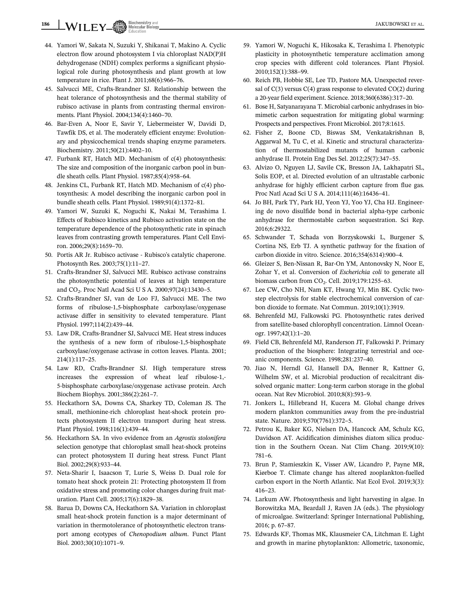$\perp_{\mathsf{WIEY-}}$   $\blacksquare$   $\blacksquare$   $\blacksquare$   $\blacksquare$   $\blacksquare$   $\blacksquare$   $\blacksquare$   $\blacksquare$   $\blacksquare$   $\blacksquare$   $\blacksquare$   $\blacksquare$   $\blacksquare$   $\blacksquare$   $\blacksquare$   $\blacksquare$   $\blacksquare$   $\blacksquare$   $\blacksquare$   $\blacksquare$   $\blacksquare$   $\blacksquare$   $\blacksquare$   $\blacksquare$   $\blacksquare$   $\blacksquare$   $\blacksquare$   $\blacksquare$   $\blacksquare$   $\$ 

- 44. Yamori W, Sakata N, Suzuki Y, Shikanai T, Makino A. Cyclic electron flow around photosystem I via chloroplast NAD(P)H dehydrogenase (NDH) complex performs a significant physiological role during photosynthesis and plant growth at low temperature in rice. Plant J. 2011;68(6):966–76.
- 45. Salvucci ME, Crafts-Brandner SJ. Relationship between the heat tolerance of photosynthesis and the thermal stability of rubisco activase in plants from contrasting thermal environments. Plant Physiol. 2004;134(4):1460–70.
- 46. Bar-Even A, Noor E, Savir Y, Liebermeister W, Davidi D, Tawfik DS, et al. The moderately efficient enzyme: Evolutionary and physicochemical trends shaping enzyme parameters. Biochemistry. 2011;50(21):4402–10.
- 47. Furbank RT, Hatch MD. Mechanism of c(4) photosynthesis: The size and composition of the inorganic carbon pool in bundle sheath cells. Plant Physiol. 1987;85(4):958–64.
- 48. Jenkins CL, Furbank RT, Hatch MD. Mechanism of c(4) photosynthesis: A model describing the inorganic carbon pool in bundle sheath cells. Plant Physiol. 1989;91(4):1372–81.
- 49. Yamori W, Suzuki K, Noguchi K, Nakai M, Terashima I. Effects of Rubisco kinetics and Rubisco activation state on the temperature dependence of the photosynthetic rate in spinach leaves from contrasting growth temperatures. Plant Cell Environ. 2006;29(8):1659–70.
- 50. Portis AR Jr. Rubisco activase Rubisco's catalytic chaperone. Photosynth Res. 2003;75(1):11–27.
- 51. Crafts-Brandner SJ, Salvucci ME. Rubisco activase constrains the photosynthetic potential of leaves at high temperature and CO<sub>2</sub>. Proc Natl Acad Sci U S A. 2000;97(24):13430-5.
- 52. Crafts-Brandner SJ, van de Loo FJ, Salvucci ME. The two forms of ribulose-1,5-bisphosphate carboxylase/oxygenase activase differ in sensitivity to elevated temperature. Plant Physiol. 1997;114(2):439–44.
- 53. Law DR, Crafts-Brandner SJ, Salvucci ME. Heat stress induces the synthesis of a new form of ribulose-1,5-bisphosphate carboxylase/oxygenase activase in cotton leaves. Planta. 2001; 214(1):117–25.
- 54. Law RD, Crafts-Brandner SJ. High temperature stress increases the expression of wheat leaf ribulose-1,- 5-bisphosphate carboxylase/oxygenase activase protein. Arch Biochem Biophys. 2001;386(2):261–7.
- 55. Heckathorn SA, Downs CA, Sharkey TD, Coleman JS. The small, methionine-rich chloroplast heat-shock protein protects photosystem II electron transport during heat stress. Plant Physiol. 1998;116(1):439–44.
- 56. Heckathorn SA. In vivo evidence from an Agrostis stolonifera selection genotype that chloroplast small heat-shock proteins can protect photosystem II during heat stress. Funct Plant Biol. 2002;29(8):933–44.
- 57. Neta-Sharir I, Isaacson T, Lurie S, Weiss D. Dual role for tomato heat shock protein 21: Protecting photosystem II from oxidative stress and promoting color changes during fruit maturation. Plant Cell. 2005;17(6):1829–38.
- 58. Barua D, Downs CA, Heckathorn SA. Variation in chloroplast small heat-shock protein function is a major determinant of variation in thermotolerance of photosynthetic electron transport among ecotypes of Chenopodium album. Funct Plant Biol. 2003;30(10):1071–9.
- 59. Yamori W, Noguchi K, Hikosaka K, Terashima I. Phenotypic plasticity in photosynthetic temperature acclimation among crop species with different cold tolerances. Plant Physiol. 2010;152(1):388–99.
- 60. Reich PB, Hobbie SE, Lee TD, Pastore MA. Unexpected reversal of  $C(3)$  versus  $C(4)$  grass response to elevated  $CO(2)$  during a 20-year field experiment. Science. 2018;360(6386):317–20.
- 61. Bose H, Satyanarayana T. Microbial carbonic anhydrases in biomimetic carbon sequestration for mitigating global warming: Prospects and perspectives. Front Microbiol. 2017;8:1615.
- 62. Fisher Z, Boone CD, Biswas SM, Venkatakrishnan B, Aggarwal M, Tu C, et al. Kinetic and structural characterization of thermostabilized mutants of human carbonic anhydrase II. Protein Eng Des Sel. 2012;25(7):347–55.
- 63. Alvizo O, Nguyen LJ, Savile CK, Bresson JA, Lakhapatri SL, Solis EOP, et al. Directed evolution of an ultrastable carbonic anhydrase for highly efficient carbon capture from flue gas. Proc Natl Acad Sci U S A. 2014;111(46):16436–41.
- 64. Jo BH, Park TY, Park HJ, Yeon YJ, Yoo YJ, Cha HJ. Engineering de novo disulfide bond in bacterial alpha-type carbonic anhydrase for thermostable carbon sequestration. Sci Rep. 2016;6:29322.
- 65. Schwander T, Schada von Borzyskowski L, Burgener S, Cortina NS, Erb TJ. A synthetic pathway for the fixation of carbon dioxide in vitro. Science. 2016;354(6314):900–4.
- 66. Gleizer S, Ben-Nissan R, Bar-On YM, Antonovsky N, Noor E, Zohar Y, et al. Conversion of Escherichia coli to generate all biomass carbon from CO<sub>2</sub>. Cell. 2019;179:1255-63.
- 67. Lee CW, Cho NH, Nam KT, Hwang YJ, Min BK. Cyclic twostep electrolysis for stable electrochemical conversion of carbon dioxide to formate. Nat Commun. 2019;10(1):3919.
- 68. Behrenfeld MJ, Falkowski PG. Photosynthetic rates derived from satellite-based chlorophyll concentration. Limnol Oceanogr. 1997;42(1):1–20.
- 69. Field CB, Behrenfeld MJ, Randerson JT, Falkowski P. Primary production of the biosphere: Integrating terrestrial and oceanic components. Science. 1998;281:237–40.
- 70. Jiao N, Herndl GJ, Hansell DA, Benner R, Kattner G, Wilhelm SW, et al. Microbial production of recalcitrant dissolved organic matter: Long-term carbon storage in the global ocean. Nat Rev Microbiol. 2010;8(8):593–9.
- 71. Jonkers L, Hillebrand H, Kucera M. Global change drives modern plankton communities away from the pre-industrial state. Nature. 2019;570(7761):372–5.
- 72. Petrou K, Baker KG, Nielsen DA, Hancock AM, Schulz KG, Davidson AT. Acidification diminishes diatom silica production in the Southern Ocean. Nat Clim Chang. 2019;9(10): 781–6.
- 73. Brun P, Stamieszkin K, Visser AW, Licandro P, Payne MR, Kiørboe T. Climate change has altered zooplankton-fuelled carbon export in the North Atlantic. Nat Ecol Evol. 2019;3(3): 416–23.
- 74. Larkum AW. Photosynthesis and light harvesting in algae. In Borowitzka MA, Beardall J, Raven JA (eds.). The physiology of microalgae. Switzerland: Springer International Publishing, 2016; p. 67–87.
- 75. Edwards KF, Thomas MK, Klausmeier CA, Litchman E. Light and growth in marine phytoplankton: Allometric, taxonomic,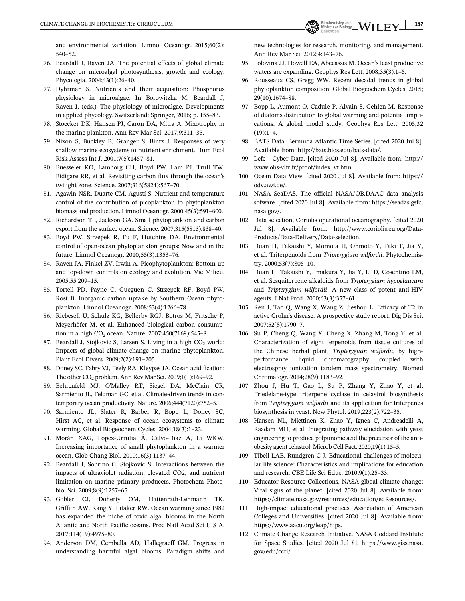540–52.

- 76. Beardall J, Raven JA. The potential effects of global climate change on microalgal photosynthesis, growth and ecology. Phycologia. 2004;43(1):26–40.
- 77. Dyhrman S. Nutrients and their acquisition: Phosphorus physiology in microalgae. In Borowitzka M, Beardall J, Raven J, (eds.). The physiology of microalgae. Developments in applied phycology. Switzerland: Springer, 2016; p. 155–83.
- 78. Stoecker DK, Hansen PJ, Caron DA, Mitra A. Mixotrophy in the marine plankton. Ann Rev Mar Sci. 2017;9:311–35.
- 79. Nixon S, Buckley B, Granger S, Bintz J. Responses of very shallow marine ecosystems to nutrient enrichment. Hum Ecol Risk Assess Int J. 2001;7(5):1457–81.
- 80. Buesseler KO, Lamborg CH, Boyd PW, Lam PJ, Trull TW, Bidigare RR, et al. Revisiting carbon flux through the ocean's twilight zone. Science. 2007;316(5824):567–70.
- 81. Agawin NSR, Duarte CM, Agustí S. Nutrient and temperature control of the contribution of picoplankton to phytoplankton biomass and production. Limnol Oceanogr. 2000;45(3):591–600.
- 82. Richardson TL, Jackson GA. Small phytoplankton and carbon export from the surface ocean. Science. 2007;315(5813):838–40.
- 83. Boyd PW, Strzepek R, Fu F, Hutchins DA. Environmental control of open-ocean phytoplankton groups: Now and in the future. Limnol Oceanogr. 2010;55(3):1353–76.
- 84. Raven JA, Finkel ZV, Irwin A. Picophytoplankton: Bottom-up and top-down controls on ecology and evolution. Vie Milieu. 2005;55:209–15.
- 85. Tortell PD, Payne C, Gueguen C, Strzepek RF, Boyd PW, Rost B. Inorganic carbon uptake by Southern Ocean phytoplankton. Limnol Oceanogr. 2008;53(4):1266–78.
- 86. Riebesell U, Schulz KG, Bellerby RGJ, Botros M, Fritsche P, Meyerhöfer M, et al. Enhanced biological carbon consumption in a high  $CO_2$  ocean. Nature. 2007;450(7169):545-8.
- 87. Beardall J, Stojkovic S, Larsen S. Living in a high  $CO<sub>2</sub>$  world: Impacts of global climate change on marine phytoplankton. Plant Ecol Divers. 2009;2(2):191–205.
- 88. Doney SC, Fabry VJ, Feely RA, Kleypas JA. Ocean acidification: The other  $CO<sub>2</sub>$  problem. Ann Rev Mar Sci. 2009;1(1):169-92.
- 89. Behrenfeld MJ, O'Malley RT, Siegel DA, McClain CR, Sarmiento JL, Feldman GC, et al. Climate-driven trends in contemporary ocean productivity. Nature. 2006;444(7120):752–5.
- 90. Sarmiento JL, Slater R, Barber R, Bopp L, Doney SC, Hirst AC, et al. Response of ocean ecosystems to climate warming. Global Biogeochem Cycles. 2004;18(3):1–23.
- 91. Morán XAG, López-Urrutia Á, Calvo-Díaz A, Li WKW. Increasing importance of small phytoplankton in a warmer ocean. Glob Chang Biol. 2010;16(3):1137–44.
- 92. Beardall J, Sobrino C, Stojkovic S. Interactions between the impacts of ultraviolet radiation, elevated CO2, and nutrient limitation on marine primary producers. Photochem Photobiol Sci. 2009;8(9):1257–65.
- 93. Gobler CJ, Doherty OM, Hattenrath-Lehmann TK, Griffith AW, Kang Y, Litaker RW. Ocean warming since 1982 has expanded the niche of toxic algal blooms in the North Atlantic and North Pacific oceans. Proc Natl Acad Sci U S A. 2017;114(19):4975–80.
- 94. Anderson DM, Cembella AD, Hallegraeff GM. Progress in understanding harmful algal blooms: Paradigm shifts and

new technologies for research, monitoring, and management. Ann Rev Mar Sci. 2012;4:143–76.

- 95. Polovina JJ, Howell EA, Abecassis M. Ocean's least productive waters are expanding. Geophys Res Lett. 2008;35(3):1–5.
- 96. Rousseaux CS, Gregg WW. Recent decadal trends in global phytoplankton composition. Global Biogeochem Cycles. 2015; 29(10):1674–88.
- 97. Bopp L, Aumont O, Cadule P, Alvain S, Gehlen M. Response of diatoms distribution to global warming and potential implications: A global model study. Geophys Res Lett. 2005;32  $(19):1-4.$
- 98. BATS Data. Bermuda Atlantic Time Series. [cited 2020 Jul 8]. Available from: http://bats.bios.edu/bats-data/.
- 99. Lefe Cyber Data. [cited 2020 Jul 8]. Available from: http:// www.obs-vlfr.fr/proof/index\_vt.htm.
- 100. Ocean Data View. [cited 2020 Jul 8]. Available from: https:// odv.awi.de/.
- 101. NASA SeaDAS. The official NASA/OB.DAAC data analysis sofware. [cited 2020 Jul 8]. Available from: https://seadas.gsfc. nasa.gov/.
- 102. Data selection, Coriolis operational oceanography. [cited 2020 Jul 8]. Available from: http://www.coriolis.eu.org/Data-Products/Data-Delivery/Data-selection.
- 103. Duan H, Takaishi Y, Momota H, Ohmoto Y, Taki T, Jia Y, et al. Triterpenoids from Tripterygium wilfordii. Phytochemistry. 2000;53(7):805–10.
- 104. Duan H, Takaishi Y, Imakura Y, Jia Y, Li D, Cosentino LM, et al. Sesquiterpene alkaloids from Tripterygium hypoglaucum and Tripterygium wilfordii: A new class of potent anti-HIV agents. J Nat Prod. 2000;63(3):357–61.
- 105. Ren J, Tao Q, Wang X, Wang Z, Jieshou L. Efficacy of T2 in active Crohn's disease: A prospective study report. Dig Dis Sci. 2007;52(8):1790–7.
- 106. Su P, Cheng Q, Wang X, Cheng X, Zhang M, Tong Y, et al. Characterization of eight terpenoids from tissue cultures of the Chinese herbal plant, Tripterygium wilfordii, by highperformance liquid chromatography coupled with electrospray ionization tandem mass spectrometry. Biomed Chromatogr. 2014;28(9):1183–92.
- 107. Zhou J, Hu T, Gao L, Su P, Zhang Y, Zhao Y, et al. Friedelane-type triterpene cyclase in celastrol biosynthesis from Tripterygium wilfordii and its application for triterpenes biosynthesis in yeast. New Phytol. 2019;223(2):722–35.
- 108. Hansen NL, Miettinen K, Zhao Y, Ignea C, Andreadelli A, Raadam MH, et al. Integrating pathway elucidation with yeast engineering to produce polpunonic acid the precursor of the antiobesity agent celastrol. Microb Cell Fact. 2020;19(1):15–5.
- 109. Tibell LAE, Rundgren C-J. Educational challenges of molecular life science: Characteristics and implications for education and research. CBE Life Sci Educ. 2010;9(1):25–33.
- 110. Educator Resource Collections. NASA glboal climate change: Vital signs of the planet. [cited 2020 Jul 8]. Available from: https://climate.nasa.gov/resources/education/edResources/.
- 111. High-impact educational practices. Association of American Colleges and Universities. [cited 2020 Jul 8]. Available from: https://www.aacu.org/leap/hips.
- 112. Climate Change Research Initiative. NASA Goddard Institute for Space Studies. [cited 2020 Jul 8]. https://www.giss.nasa. gov/edu/ccri/.